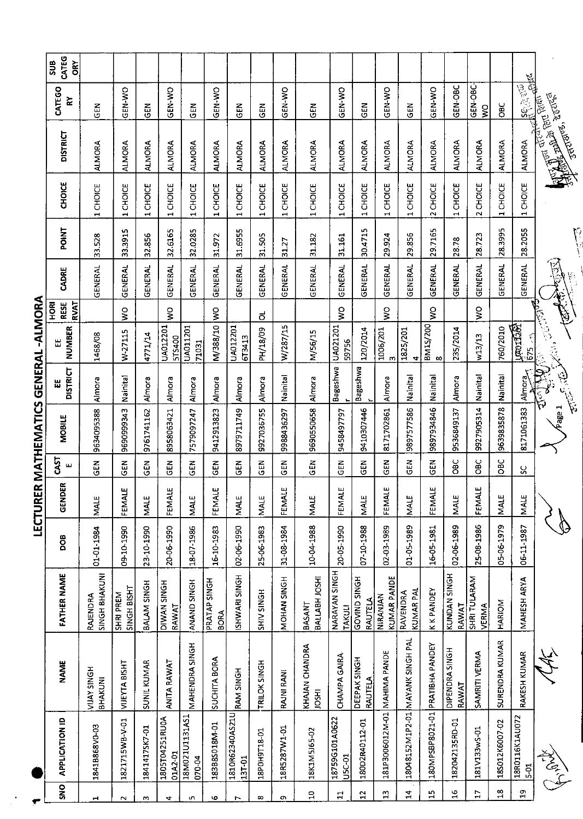| CATEG<br>δř<br>508                        |                                  |                                 |                          |                                 |                          |                             |                           |                   |                   |                                       |                                 |                          |                                |                                  |                                 |                         |                              |                |                          |                                                               |
|-------------------------------------------|----------------------------------|---------------------------------|--------------------------|---------------------------------|--------------------------|-----------------------------|---------------------------|-------------------|-------------------|---------------------------------------|---------------------------------|--------------------------|--------------------------------|----------------------------------|---------------------------------|-------------------------|------------------------------|----------------|--------------------------|---------------------------------------------------------------|
| CATEGO<br>廴                               | GEN                              | GEN-WO                          | <b>GEN</b>               | GEN-WO                          | $rac{2}{3}$              | GEN-WO                      | $\frac{2}{3}$             | <b>CEN</b>        | GEN-WO            | <b>GEN</b>                            | GEN-WO                          | <b>GEN</b>               | GEN-WO                         | GEN                              | GEN-WO                          | GEN-OBC                 | GEN-OBC-<br>$\sum_{i=1}^{n}$ | <b>OBC</b>     | <b>Add</b>               |                                                               |
| <b>DISTRICT</b>                           | <b>ALMORA</b>                    | <b>ALMORA</b>                   | <b>ALMORA</b>            | ALMORA                          | ALMORA                   | <b>ALMORA</b>               | <b>ALMORA</b>             | <b>ALMORA</b>     | <b>ALMORA</b>     | <b>ALMORA</b>                         | <b>ALMORA</b>                   | <b>ALMORA</b>            | <b>ALMORA</b>                  | ALMORA                           | <b>ALMORA</b>                   | <b>ALMORA</b>           | <b>ALMORA</b>                | <b>ALMORA</b>  |                          | <b>All Belling School September</b><br><b>TRTUBES, 200765</b> |
| <b>CHOICE</b>                             | CHOICE<br>$\blacksquare$         | CHOICE<br>$\blacksquare$        | CHOICE<br>$\blacksquare$ | <b>CHOICE</b><br>$\blacksquare$ | 1 CHOICE                 | 1 CHOICE                    | CHOICE<br>$\blacksquare$  | 1 CHOICE          | CHOICE            | 1 CHOICE                              | <b>CHOICE</b><br>$\blacksquare$ | CHOICE<br>$\blacksquare$ | 1 CHOICE                       | 1 CHOICE                         | 2 CHOICE                        | 1 CHOICE                | 2 CHOICE                     | 1 CHOICE       | 1 CHOICE                 |                                                               |
| <b>POINT</b>                              | 33.528                           | 33.3915                         | 32856                    | 32.6165                         | 32.0285                  | 31.972                      | 31.6955                   | 31.505            | 31.27             | 31.182                                | 31.161                          | m<br>30.471              | 29924                          | 29.856                           | 29.7165                         | 28.78                   | 28.723                       | 283995         | 28.2055                  |                                                               |
| CADRE                                     | GENERAL                          | <b>GENERAL</b>                  | <b>GENERAL</b>           | <b>GENERAL</b>                  | <b>GENERAL</b>           | <b>GENERAL</b>              | GENERAL                   | <b>GENERAL</b>    | <b>GENERAL</b>    | <b>GENERAL</b>                        | <b>GENERAL</b>                  | GENERAL                  | GENERAL                        | <b>GENERAL</b>                   | <b>GENERAL</b>                  | GENERAL                 | <b>GENERAL</b>               | <b>GENERA!</b> | GENERAL                  |                                                               |
| <b>RESE</b><br><b>RVAT</b><br>$rac{R}{2}$ |                                  | $\frac{1}{2}$                   |                          | $\frac{1}{2}$                   |                          | $\frac{8}{2}$               |                           | $\vec{o}$         |                   |                                       | $\frac{1}{2}$                   |                          | ş                              |                                  | ş                               |                         | $\frac{1}{2}$                |                |                          | $\widehat{\ell}$                                              |
| NUMBER<br>Щ                               | 1468/08                          | W-27115                         | 4771/14                  | UA012201<br>5TS400              | UA011201<br>71031        | M/388/10                    | UA012201<br>6T3413        | PH/18/09          | W/287/15          | M/56/15                               | UA021201<br>59756               | 120/2014                 | 1006/201<br>m                  | 1825/201<br>4                    | BM1S/200<br>$\infty$            | 235/2014                | W13/13                       | 760/2010       | lunosises)<br>625 - R    | <b>BOOK</b>                                                   |
| <b>DISTRICT</b><br>出                      | Almora                           | Nainital                        | Almora                   | Almora                          | Almora                   | Almora                      | Almora                    | Almora            | Nainital          | Almora                                | Bageshwa                        | Bageshwa                 | Almora                         | Nainital                         | Nainital                        | Almora                  | Nainital                     | Nainital       | Almora                   | 2007                                                          |
| <b>MOBILE</b>                             | 9634095388                       | 9690999343                      | 9761741162               | 8958063421                      | 7579097247               | 9412913823                  | 8979711749                | 9927036755        | 9988436297        | 9690550658                            | 9458497797                      | 9410307446               | 8171702861                     | 9897577586                       | 9897934846                      | 9536849137              | 9927905314                   | 9639835878     | 8171061383               | age 1                                                         |
| CAST<br>ш                                 | $rac{2}{5}$                      | $rac{2}{3}$                     | $\frac{2}{3}$            | $\frac{2}{5}$                   | $\tilde{5}$              | GEN                         | $rac{1}{2}$               | GEN               | $\tilde{a}$       | $\tilde{a}$                           | GEN                             | $\overline{5}$           | <b>GEN</b>                     | $\tilde{e}$                      | $\frac{2}{5}$                   | ă                       | <b>OBC</b>                   | <b>BC</b>      | ပ္တ                      |                                                               |
| ER<br>요<br>영                              | MALE                             | щ<br>FEMALI                     | <b>MALE</b>              | ш<br>FEMAL                      | MALE                     | щ<br>FEMAL                  | <b>MALE</b>               | MALE              | щ<br><b>FEMAL</b> | <b>MALE</b>                           | ш<br>FEMAL                      | <b>MALE</b>              | ш<br>FEMAL                     | <b>MALE</b>                      | щ<br>FEMAL                      | MALE                    | بى<br>FEMAL                  | MALE           | <b>MALE</b>              |                                                               |
| <b>BOO</b>                                | 01-01-1984                       | 09-10-1990                      | 23-10-1990               | 20-06-1990                      | 18-07-1986               | 16-10-1983                  | 02 06 1990                | 25-06-1983        | 31-08-1984        | 10-04-1988                            | 20-05-1990                      | 07-10-1988               | 02-03-1989                     | 01-05-1989                       | 16-05-1981                      | 02-06-1989              | 25-08-1986                   | 05-06-1979     | 06-11-1987               |                                                               |
| FATHER NAME                               | <b>SINGH BHAKUNI</b><br>RAJENDRA | <b>SINGH BISHT</b><br>SHRI PREM | BALAM SINGH              | <b>DIWAN SINGH</b><br>RAWAT     | ANAND SINGH              | PRATAP SINGH<br><b>BORA</b> | SHWARI SINGH              | <b>HDNIS VIHS</b> | NOHAN SINGH       | BALLABH JOSHI<br>BASANT               | NARAYAN SINGH<br><b>TAKULI</b>  | GOVIND SINGH<br>RAUTELA  | <b>KUMAR PANDE</b><br>NIRANJAN | <b>KUMAR PAL</b><br>RAVENDRA     | <b>K K PANDEY</b>               | KUNDAN SINGH<br>RAWAT   | SHRITULARAM<br>VERMA         | HARIOM         | MAHESH ARYA              |                                                               |
| <b>NAME</b>                               | VIJAY SINGH<br>BHAKUNI           | VIJEYTA BISHT                   | SUNIL KUMAR              | ANITA RAWAT                     | <b>MAHENDRA SINGH</b>    | <b>SUCHITA BORA</b>         | RAM SINGH                 | TRILOK SINGH      | RAJNI RANI        | <b>KHAJAN CHANDRA</b><br><b>IOSHI</b> | <b>CHAMPA GAIRA</b>             | DEEPAK SINGH<br>RAUTELA  |                                | 18048152M1P2-01 MAYANK SINGH PAL |                                 | DIPENDRA SINGH<br>RAWAT | SAMRITI VERMA                | SURENDRA KUMAR | RAKESH KUMAR             |                                                               |
| <b>APPLICATION ID</b>                     | 1841B868V0-03                    | 1821715WB-V-01                  | 1841417SK7-01            | 1805T04251RU0A<br>01A2-01       | 18M021U1131AS1<br>070-04 | 183B8S018M-01               | 1810R62340AS21U<br>13T-01 | 18P0H9T18-01      | 18R5287W1-01      | 18K1M5J65-02                          | 18759G101A0622<br>U5C-01        | 180D2R40112-01           | 181P3006012M-01 MAHIMA PANDE   |                                  | 180MPSBP8021-01 PRATIBHA PANDEY | 182042135RD-01          | 181V133wS-01                 | 18S012K6007-02 | 18R0116K1AU072<br>$5-01$ | Allen Road                                                    |
| SNO                                       |                                  | $\sim$                          | m                        | ᆉ                               | ഥ                        | Φ                           |                           | $\infty$          | o                 | $\Omega$                              | 를                               | $\mathfrak{p}$           | $\frac{3}{2}$                  | Ħ,                               | $\frac{10}{11}$                 | $\frac{6}{11}$          | Ħ                            | $\frac{8}{10}$ | ă                        |                                                               |

LECTURER MATHEMATICS GENERAL -ALMORA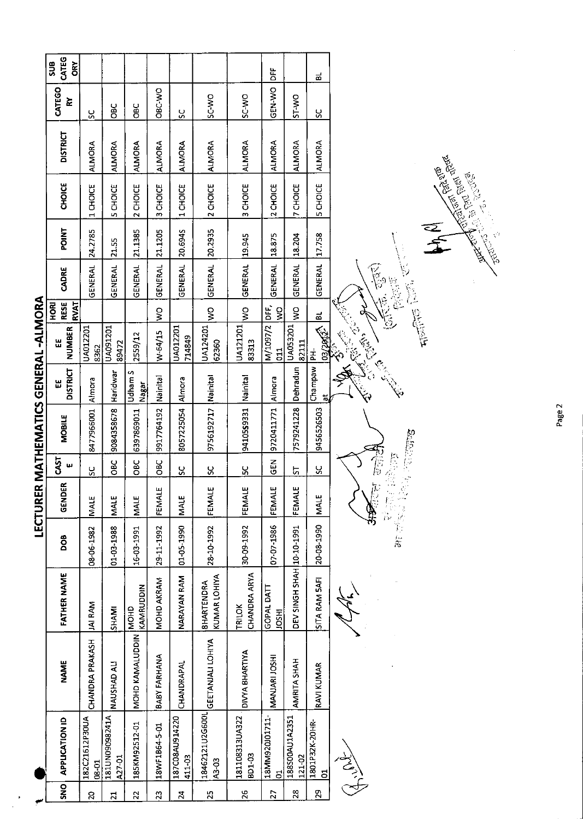|                               | CATEG<br>SU <sub>S</sub><br>δř           |                         |                          |                          |                    |                          |                                      |                          | 농                                |                           | ಷ                             |               |                 |
|-------------------------------|------------------------------------------|-------------------------|--------------------------|--------------------------|--------------------|--------------------------|--------------------------------------|--------------------------|----------------------------------|---------------------------|-------------------------------|---------------|-----------------|
|                               | CATEGO<br>≿                              | SC                      | <b>DaC</b>               | <b>OBC</b>               | OBC-V <sub>O</sub> | Š                        | SC-WO                                | SC-WO                    | <b>GEN WO</b>                    | OW-LS                     | ပ္က                           |               |                 |
|                               | <b>DISTRICT</b>                          | <b>ALMORA</b>           | <b>ALMORA</b>            | <b>ALMORA</b>            | <b>ALMORA</b>      | ALMORA                   | <b>ALMORA</b>                        | AI MORA                  | <b>ALMORA</b>                    | <b>ALMORA</b>             | <b>ALMORA</b>                 |               |                 |
|                               | <b>CHOICE</b>                            | 1 CHOICE                | <b>SCHOICE</b>           | 2 CHOICE                 | 3 CHOICE           | 1 CHOICE                 | 2 CHOICE                             | 3 CHOICE                 | 2 CHOICE                         | 7 CHOICE                  | <b>5 CHOICE</b>               |               |                 |
|                               | <b>POINT</b>                             | 24.2785                 | 21.55                    | 21.1385                  | 21.1205            | 20.6945                  | 20.2935                              | 19.945                   | 18.875                           | 18.204                    | 17.758                        |               |                 |
|                               | CADRE                                    | GENERAL                 | GENERAL                  | GENERAL                  | GENERAL            | GENERAL                  | GENERAL                              | GENERAL                  | GENERAL                          | GENERAL                   | GENERAL                       |               | E<br>E          |
|                               | <b>RESE</b><br><b>RVAT</b><br><b>ROH</b> |                         |                          |                          | Ş                  |                          | $\frac{8}{5}$                        | $\frac{1}{2}$            | bF,<br>ş                         | Ş                         | ಪ                             |               | ١Ś              |
|                               | NUMBER<br>뿝                              | JA012201<br>8362        | <b>TO2T60YN</b><br>89472 | 2559/12                  | W-64/15            | UA012201<br>714849       | UA124201<br>62360                    | UA121201<br>83313        | M/1097/2<br>$\frac{11}{2}$       | UA053201<br>82111         | 03/2012 <sup>2</sup>          |               |                 |
|                               | <b>DISTRICT</b><br>Ш                     | Almora                  | Haridwar                 | Udham S<br>Nagar         | Nainital           |                          |                                      | Nainital                 | Almora                           | Dehradun                  | Champaw PH-<br>$\overline{a}$ |               |                 |
| R MATHEMATICS GENERAL -ALMORA | <b>MOBILE</b>                            | 8477966001              | 9084358678               | 6397869011               | 9917764192         | 8057225054 Almora        | 9756192717 Nainital                  | 9410559331               | 9720411771                       | 7579241228                | 9456526503                    |               |                 |
|                               | CAST<br>ш                                | ပ္တ                     | <b>DBC</b>               | OBC                      | <b>DBC</b>         | š                        | $\mathbf{S}$                         | č                        | $\frac{2}{5}$                    | 5                         | <u>پ</u>                      |               |                 |
| LECTURE                       | GENDER                                   | <b>MALE</b>             | <b>MALE</b>              | <b>MALE</b>              | FEMALE             | MALE                     | FEMALE                               | FEMALE                   | $\mathbf{u}$<br>FEMALI           | FEMALI                    | <b>NALE</b>                   |               | $\mathcal{I}$ : |
|                               | BOO                                      | 08-06-1982              | 01-03-1988               | 16-03-1991               | 29-11-1992         | 01-05-1990               | 28-10-1992                           | 30-09-1992               | 07-07-1986                       |                           | 20-08-1990                    |               |                 |
|                               | FATHER NAME                              | <b>JAI RAM</b>          | <b>SHAMI</b>             | KAMRUDDIN<br><b>GHON</b> | MOHD AKRAM         | NARAYAN RAM              | KUMAR LOHIYA<br><b>BHARTENDRA</b>    | CHANDRA ARYA<br>TRILOK   | GOPAL DATT<br><b>IRSOI</b>       | DEV SINGH SHAH 10-10-1991 | SITA RAM SAFI                 |               |                 |
|                               | <b>NAME</b>                              | CHANDRA PRAKASH         | NAUSHAD ALI              | MOHD KAMALUDDIN          | BABY FARHANA       | CHANDRAPAL               | 18462121U2G600L<br>GEETANJALI LOHIYA | DIVYA BHARTIYA           | MANJARI JOSHI                    | <b>AMRITA SHAH</b>        | RAVI KUMAR                    |               |                 |
|                               | <b>APPLICATION ID</b>                    | 182C21612P30UA<br>08-01 | A14586060NU181<br>A27-01 | 185KM92512-01            | 18WF1B64-5-01      | 187C08AU914220<br>411-03 | A3-03                                | 181108313UA322<br>BD1-03 | 18MM920J01711-<br>$\overline{5}$ | 188S00AU1A2351<br>121-02  | 1801P32K-20HR-<br>5           | $\frac{2}{2}$ |                 |
|                               | $\overline{2}$                           | Q                       | H                        | $\mathbf{N}$             | Ö,                 | 보                        | 53                                   | 5                        | $\sum_{i=1}^{n}$                 | œ,                        | g                             |               |                 |

Page 2

**Contract Contract Contract Contract Contract Contract Contract Contract Contract Contract Contract Contract Contract Contract Contract Contract Contract Contract Contract Contract Contract Contract Contract Contract Contr** 

大学

**Performed**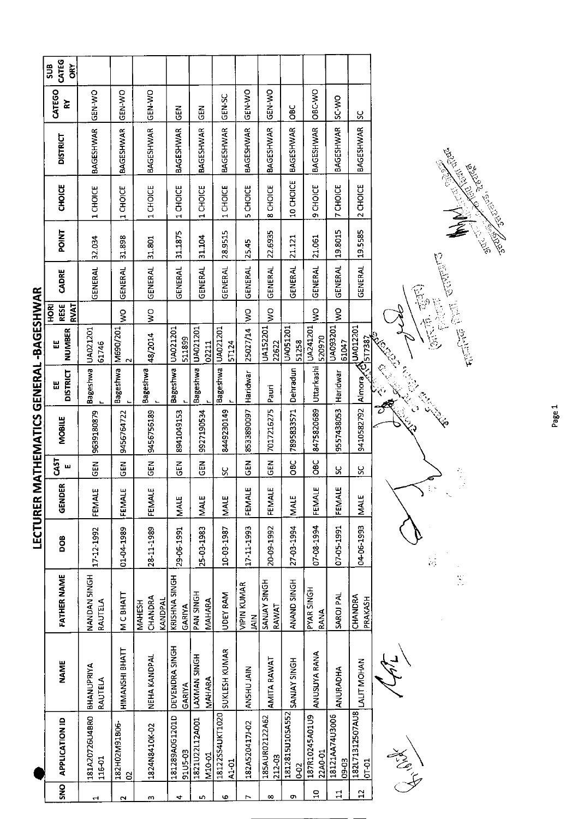|                                | CATEG<br>SUB<br><b>ORY</b>               |                          |                    |                                     |                           |                                 |                          |                                     |                          |                          |                           |                         |                              |                                                                                            |
|--------------------------------|------------------------------------------|--------------------------|--------------------|-------------------------------------|---------------------------|---------------------------------|--------------------------|-------------------------------------|--------------------------|--------------------------|---------------------------|-------------------------|------------------------------|--------------------------------------------------------------------------------------------|
|                                | CATEGO<br>줓                              | <b>GEN-WO</b>            | GEN-WO             | GEN-WO                              | 집<br>55                   | <b>GEN</b>                      | <b>GEN-SC</b>            | GEN-WO                              | GEN-WO                   | ទ<br>ខ                   | ORC-WO                    | SC-WO                   | ပ္ပ                          |                                                                                            |
|                                | <b>DISTRICT</b>                          | <b>BAGESHWAR</b>         | <b>BAGESHWAR</b>   | <b>BAGESHWAR</b>                    | <b>BAGESHWAR</b>          | <b>BAGESHWAR</b>                | BAGESHWAR                | BAGESHWAR                           | <b>BAGESHWAR</b>         | <b>BAGESHWAR</b>         | BAGESHWAR                 | <b>BAGESHWAR</b>        | BAGESHWAR                    | <b>COLLECTER COLLECTER</b>                                                                 |
|                                | <b>CHOICE</b>                            | 1 CHOICE                 | 1 CHOICE           | 1 CHOICE                            | 1 CHOICE                  | 1 CHOICE                        | 1 CHOICE                 | CHOICE<br>S.                        | CHOICE<br>$\infty$       | 10 CHOICE                | CHOICE<br>ō               | <b>7 CHOICE</b>         | 2 CHOICE                     | Beech March 2002                                                                           |
|                                | <b>POINT</b>                             | 32.034                   | 31.898             | 31.801                              | 31.1875                   | 31.104                          | 28.9515                  | 25.45                               | 22.6935                  | 21.121                   | 21.061                    | 19.8015                 | 19.5585                      |                                                                                            |
|                                | CADRE                                    | GENERAL                  | GENERAL            | <b>GENERAL</b>                      | <b>GENERAL</b>            | GENERAL                         | <b>GENERAL</b>           | <b>GENERAL</b>                      | GENERAL                  | <b>GENERAL</b>           | GENERAL                   | GENERAL                 | <b>GENERAL</b>               | C Control                                                                                  |
|                                | <b>RVAT</b><br><b>RESE</b><br><b>ROH</b> |                          | š                  | $\sum_{i=1}^{n}$                    |                           |                                 |                          | š                                   | Š                        |                          | Š                         | g                       |                              |                                                                                            |
|                                | NUMBER<br>Ш                              | UA021201<br>61746        | M690/201           | 48/2014                             | UA021201<br>511899        | UA021201<br>02211               | UA021201<br><b>5T124</b> | 25027/14                            | UA152201<br>22622        | UA051201<br>51258        | UA241201<br>520970        | UA093201<br>61047       | UA012201<br>517387           | $\left(\frac{1}{2\sqrt{3}}\sqrt{3},\frac{1}{2\sqrt{3}}\sqrt{3}\sqrt{3}\right)$<br>The film |
|                                | <b>DISTRICT</b><br>出                     | Bageshwa                 | Bageshwa           | Bageshwa                            | <b>Bageshwa</b>           | Bageshwa                        | Bageshwa                 | Haridwar                            | Pauri                    | Dehradun                 | Uttarkashi                | Haridwar                | स्र,<br>Almora               |                                                                                            |
| MATHEMATICS GENERAL -BAGESHWAR | <b>MOBILE</b>                            | 9639180879               | 9456764722         | 9456756189                          | 8941049153                | 9927190534                      | 8449230149               | 8533890097                          | 7017216275               | 7895833571               | 8475820689                | 9557438053              | 9410582792                   |                                                                                            |
|                                | CAST<br>ш                                | $\overline{5}$           | <b>SEN</b>         | <b>GEN</b>                          | $\frac{2}{5}$             | GEN                             | ပ္တ                      | <b>GEN</b>                          | <b>GEN</b>               | <b>DBC</b>               | <b>OBC</b>                | ႘                       | ႘                            | ł,                                                                                         |
|                                | GENDER                                   | FEMALE                   | FEMALE             | FEMALE                              | MALE                      | MALE                            | <b>MALE</b>              | FEMALE                              | FEMALE                   | <b>MALE</b>              | FEMALE                    | FEMALE                  | <b>NALE</b>                  | У<br>$\ddot{\zeta}$                                                                        |
| LECTURER                       | 80a                                      | 17-12-1992               | 01-04-1989         | 28-11-1989                          | 29-06-1991                | 25-03-1983                      | 10-03-1987               | 17-11-1993                          | 20-09-1992               | 27 03 1994               | 07-88-1994                | 07-05-1991              | 04-06-1993                   | k)                                                                                         |
|                                | <b>FATHER NAME</b>                       | NANDAN 5INGH<br>RAUTELA  | M C BHATT          | CHANDRA<br>KANDPAL<br><b>MAHESH</b> | KRISHNA SINGH<br>GARIYA   | PAN SINGH<br>MAHARA             | UDEY RAM                 | <b>VIPIN KUMAR</b><br>$\frac{2}{3}$ | SANJAY SINGH<br>RAWAT    | ANAND SINGH              | PYAR SINGH<br>RANA        | SAROJ PAL               | CHANDRA<br>PRAKASH           | Š.                                                                                         |
|                                | <b>NAME</b>                              | BHANUPRIYA<br>RAUTELA    | HIMANSHI BHATT     | NEHA KANDPAL                        | DEVENDRA SINGH<br>GARIYA  | <b>HOMIS NAW XALL</b><br>MAHARA | SUKLESH KUMAR            | AN5HU JAIN                          | AMITA RAWAT              | SANJAY SINGH             | ANUSUYA RANA              | ANURADHA                | LALIT MOHAN                  |                                                                                            |
|                                | <b>APPLICATION ID</b>                    | 181A20726U4BR0<br>116-01 | 182H02M91B06-<br>g | 1824N8410K-02                       | 181289A0G1201D<br>91U5-03 | 1821U22L12A001<br>M10-01        | 18122SS4UKT1020<br>A1-01 | 182A520417J-02                      | 185AUR02122A62<br>212-03 | 1812815U105A552<br>$0-2$ | 187R10245A01U9<br>22A0-01 | 18121AA74U3006<br>09-03 | 182L71312507AU8<br>$10 - 10$ | Allen                                                                                      |
|                                | SNO                                      | J                        | $\sim$             | m                                   | 4                         | n,                              | Ф                        | r                                   | ∞                        | o                        | $\mathbf{a}$              | 급                       | $\mathbf{r}$                 |                                                                                            |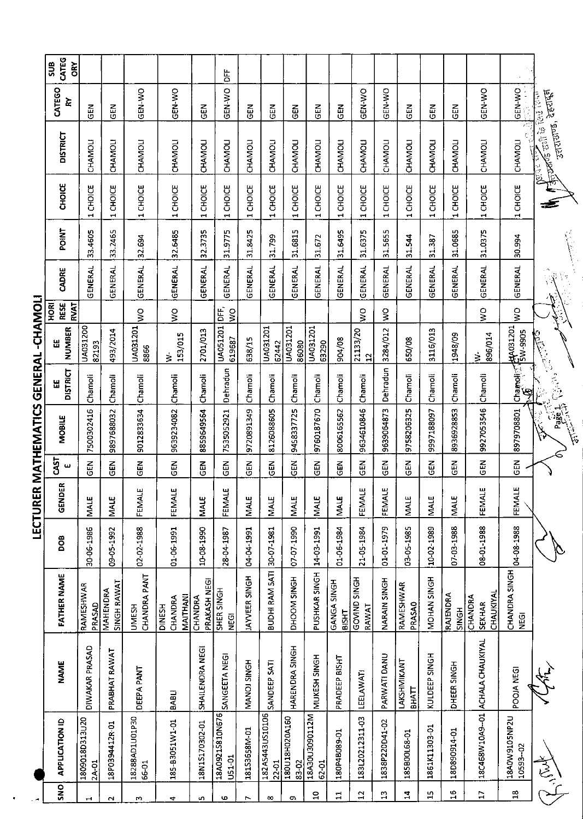| <b>SNO</b>     | <b>APPLICATION ID</b>     | <b>NAME</b>             | <b>FATHER NAME</b>                    | DOB        | 6<br>GEND          | <b>GAST</b><br>ш | <b>MOBILE</b> | <b>DISTRICT</b>                                                                                                                                                                                                                                                                                                                             | <b>NUMBER</b>              | <b>RESE</b><br><b>RVAT</b><br><b>RIOH</b> | CADRE               | POINT   | CHOICE                                    | <b>DISTRICT</b>                                                                 | CATEGO<br>Σ   | CATEG<br><b>SUB</b><br>ŌŔY |
|----------------|---------------------------|-------------------------|---------------------------------------|------------|--------------------|------------------|---------------|---------------------------------------------------------------------------------------------------------------------------------------------------------------------------------------------------------------------------------------------------------------------------------------------------------------------------------------------|----------------------------|-------------------------------------------|---------------------|---------|-------------------------------------------|---------------------------------------------------------------------------------|---------------|----------------------------|
| H              | 02018D313020<br>2A-01     | DIWAKAR PRASAD          | <b>RAMESHWAR</b><br>PRASAD            | 30-06-1986 | <b>MALE</b>        | N<br>35          | 7500302416    | Chamoli                                                                                                                                                                                                                                                                                                                                     | UA031200<br>82193          |                                           | GENERAL             | 33.4605 | CHOICE<br>$\blacksquare$                  | <b>CHAMOLI</b>                                                                  | 45<br>S       |                            |
| $\sim$         | 18P0394412R-01            | PRABHAT RAWAT           | <b>SINGH RAWAT</b><br>MAHENDRA        | 09-05-1992 | MALE               | GEN              | 9897688032    | Chamoli                                                                                                                                                                                                                                                                                                                                     | 493/2014                   |                                           | GENERAL             | 33.2465 | 1 CHOICE                                  | CHAMOLI                                                                         | M3D           |                            |
| z              | 18288AD1U01P30<br>66-01   | <b>DEEPA PANT</b>       | CHANDRA PANT<br><b>UMESH</b>          | 02-02-1988 | ш<br>FEMALI        | <b>GEN</b>       | 9012833634    | Chamoli                                                                                                                                                                                                                                                                                                                                     | UA031201<br>8866           | $\frac{1}{2}$                             | GENERAL             | 32.694  | <b>CHOICE</b><br>$\blacksquare$           | CHAMOLI                                                                         | <b>GEN WO</b> |                            |
| 4              | 185-B3051W1-01            | <b>BABLI</b>            | MAITHANI<br>CHANDRA<br><b>DINESH</b>  | 01-06-1991 | ш<br>FEMALI        | <b>GEN</b>       | 9639234082    | Chamoli                                                                                                                                                                                                                                                                                                                                     | 153/015<br>₹               | Ş                                         | <b>GENERAL</b>      | 32.6485 | 1 CHOICE                                  | <b>CHAMOLI</b>                                                                  | GEN WO        |                            |
| f,             | 18N1S170302-01            | SHAILENDRA NEGI         | PRAKASH NEGI<br>CHANDRA               | 10-08-1990 | MALE               | $\frac{5}{5}$    | 8859649564    | Chamoli                                                                                                                                                                                                                                                                                                                                     | 2701/013                   |                                           | GENERAL             | 32.3735 | 1 CHOICE                                  | CHAMOLI                                                                         | $\frac{2}{5}$ |                            |
| G              | 18A0921S810N676<br>U51-01 | SANGEETA NEGI           | SHER SINGH<br><b>DO</b>               | 28-04-1987 | ш<br>FEMALI        | GEN              | 7535052921    | Dehradun                                                                                                                                                                                                                                                                                                                                    | UA051201 DFF,<br>619687    | $\frac{1}{2}$                             | <b>GENERAL</b>      | 31.9775 | <b>CHOICE</b><br>÷,                       | CHAMOLI                                                                         | GEN-WO        | 岀<br>D                     |
| $\overline{ }$ | 18153658M-01              | MANOJ SINGH             | JAYVEER SINGH                         | 1661-70-70 | <b>MALE</b>        | EN<br>GEN        | 9720891349    | Chamoli                                                                                                                                                                                                                                                                                                                                     | 638/15                     |                                           | GENERAL             | 31.8425 | 1 CHOICE                                  | CHAMOLI                                                                         | <b>GEN</b>    |                            |
| œ              | 182AS443US10106<br>22-01  | SANDEEP SATI            | BUDHI RAM 5ATI                        | 30-07-1981 | <b>MALE</b>        | មិ<br>ច          | 8126088605    | Chamoli                                                                                                                                                                                                                                                                                                                                     | UA031201<br>62442          |                                           | GENERAL             | 31.799  | 1 CHOICE                                  | CHAMOLI                                                                         | $rac{1}{6}$   |                            |
| c              | 180U18H020A160<br>83-02   | HARENDRA SINGH          | DHOOM SINGH                           | 07-07-1990 | <b>MALE</b>        | GEN              | 9458337725    | Chamoli                                                                                                                                                                                                                                                                                                                                     | UA031201<br>86080          |                                           | GENERAL             | 31.6815 | 1 CHOICE                                  | CHAMOLI                                                                         | 6EN           |                            |
| $\overline{a}$ | NS11060CU06A81<br>62-01   | MUKESH SINGH            | PUSHKAR SINGH                         | 14-03-1991 | <b>NALE</b>        | $rac{1}{5}$      | 9760187670    | Chamoli                                                                                                                                                                                                                                                                                                                                     | UA031201<br>63290          |                                           | <b>GENERAL</b>      | 31.672  | 1 CHOICE                                  | CHAMOLI                                                                         | $rac{1}{5}$   |                            |
| 급              | 180P4B089-01              | PRADEEP BISHT           | GANGA SINGH<br><b>BISHT</b>           | 01-06-1984 | <b>MALE</b>        | មិមិ<br>ច        | 8006165562    | Chamoli                                                                                                                                                                                                                                                                                                                                     | 904/08                     |                                           | GENERAL             | 31.6495 | 1 CHOICE                                  | CHAMOLI                                                                         | GEN           |                            |
| $\overline{2}$ | 183L20212311-03           | LEELAWATI               | GOVIND SINGH<br>RAWAT                 | 21-05-1984 | Щ<br><b>FEMALI</b> | $rac{2}{5}$      | 9634610846    | Chamoli                                                                                                                                                                                                                                                                                                                                     | 21133/20<br>$\overline{1}$ | $\frac{1}{2}$                             | <b>GENERAL</b>      | 31.6375 | 1 CHOICE                                  | CHAMOLI                                                                         | GEN-WO        |                            |
| ង              | 1838P220D41-02            | PARWATI DANU            | NARAIN SINGH                          | 01-01-1979 | щ<br>FEMAL         | <b>GEN</b>       | 9639064873    | Dehradun                                                                                                                                                                                                                                                                                                                                    | 3284/012                   | $\frac{1}{2}$                             | <b>GENERAL</b>      | 31.5655 | 1 CHOICE                                  | CHAMOLI                                                                         | GEN-WO        |                            |
| 4              | 185B00L68-01              | LAKSHMIKANT<br>ВНАТТ    | RAMESHWAR<br><b>PRASAO</b>            | 03-05-1985 | <b>MALE</b>        | in<br>19         | 9758206325    | Chamoli                                                                                                                                                                                                                                                                                                                                     | 650/08                     |                                           | <b>GENERAL</b>      | 31.544  | 1 CHOICE                                  | CHAMOLI                                                                         | <b>GEN</b>    |                            |
| 15             | 1861K11303-01             | KULDEEP SINGH           | NOHAN SINGH                           | 10-02-1989 | MALE               | $\overline{5}$   | 9997188097    | Chamoli                                                                                                                                                                                                                                                                                                                                     | 3116/013                   |                                           | <b>GENERAL</b>      | 31.387  | 1 CHOICE                                  | CHAMOLI                                                                         | $\frac{2}{5}$ |                            |
| $\frac{6}{1}$  | 18D890914-01              | DHEER SINGH             | RAJENDRA<br>SINGH                     | 07-03-1988 | <b>MALE</b>        | <b>GEN</b>       | 8936928853    | Chamoli                                                                                                                                                                                                                                                                                                                                     | 1948/09                    |                                           | <b>GENERAL</b>      | 31.0685 | <b>CHOICE</b><br>$\overline{\phantom{0}}$ | CHAMOLI                                                                         | <b>AB</b>     |                            |
| $\overline{L}$ | 18C468W10A9-01            | <b>ACHALA CHAUKIYAL</b> | CHAUKIYAL<br>CHANDRA<br><b>SEKHAR</b> | 08-11-1988 | ш<br><b>FEMAL</b>  | ER<br>55         | 9927053546    | Chamoli                                                                                                                                                                                                                                                                                                                                     | 896/014<br>ż               | Ş                                         | <b>GENERAL</b>      | 31.0375 | 1 CHOICE                                  | CHAMOLI                                                                         | GEN-WO        |                            |
| $\frac{8}{10}$ | 18A0W9105NP2U<br>10593-02 | POOJA NEGI              | CHANDRA SINGH<br><b>SBD</b>           | 04-08-1988 | щ<br>FEMAL         | GEN              | 8979708801    | Chamolis (BA031201<br>Chamolis (BA031201<br>Ģ                                                                                                                                                                                                                                                                                               |                            | ş                                         | GENERAL             | 30.994  | 1 CHOICE                                  | CHAMOLI                                                                         | GEN-WO        |                            |
|                | Awson                     |                         |                                       |            |                    |                  | <b>Page 1</b> | $\sum_{i=1}^{n} \sum_{j=1}^{n} \sum_{j=1}^{n} \sum_{j=1}^{n} \sum_{j=1}^{n} \sum_{j=1}^{n} \sum_{j=1}^{n} \sum_{j=1}^{n} \sum_{j=1}^{n} \sum_{j=1}^{n} \sum_{j=1}^{n} \sum_{j=1}^{n} \sum_{j=1}^{n} \sum_{j=1}^{n} \sum_{j=1}^{n} \sum_{j=1}^{n} \sum_{j=1}^{n} \sum_{j=1}^{n} \sum_{j=1}^{n} \sum_{j=1}^{n} \sum_{j=1}^{n} \sum_{j=1}^{n}$ | C. C. Called               |                                           | $\hat{\mathcal{N}}$ |         | £                                         | उत्तराजन, देहरादल<br>नु <b>क्र्या</b> र्ड राशी के लिएँ ।<br>पु<br>$\frac{1}{2}$ |               |                            |

LECTURER MATHEMATICS GENERAL-CHAMOLI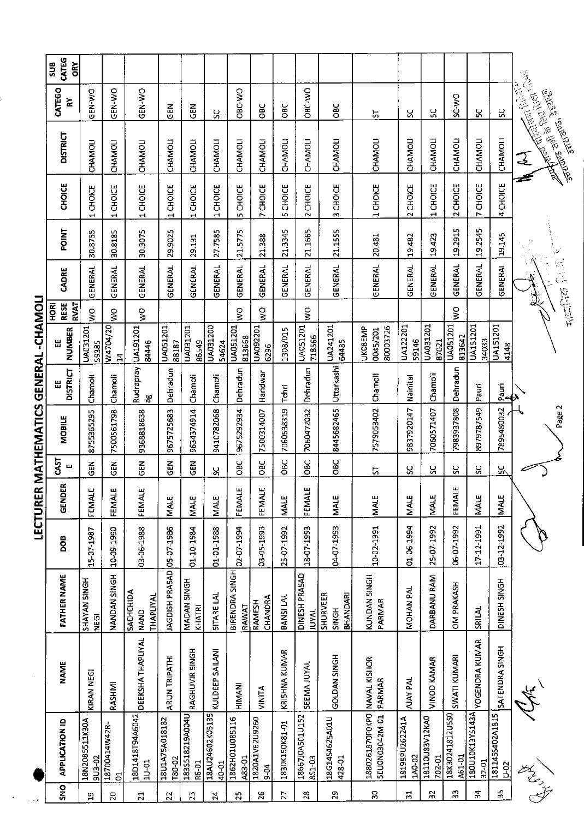| I                                                             |
|---------------------------------------------------------------|
|                                                               |
| I                                                             |
|                                                               |
| I                                                             |
| י                                                             |
|                                                               |
|                                                               |
| ֖֖֖֖֖֖֖֧ׅׅ֖֧֪֪ׅ֖֧֧֪֪֪֪֪֪֪֪֪ׅ֖֚֚֚֚֚֚֚֚֚֚֚֚֚֚֚֚֚֚֚֚֚֚֚֡֝֝֓֝֓֞֝֬ |
| I                                                             |
|                                                               |
|                                                               |
|                                                               |
| ׇ֓֡                                                           |
|                                                               |
|                                                               |
|                                                               |
|                                                               |
| ֡֡֡֡֡                                                         |
|                                                               |
|                                                               |
|                                                               |
|                                                               |
|                                                               |
|                                                               |
|                                                               |
|                                                               |
|                                                               |
|                                                               |
|                                                               |
|                                                               |

 $\cdot$ 

|                        | CATEG<br>518<br>ORY                |                                           |                                 |                                                     |                          |                                           |                                          |                          |                            |                     |                               |                                             |                                                |                          |                          |                           |                          |                            |                                                                                 |
|------------------------|------------------------------------|-------------------------------------------|---------------------------------|-----------------------------------------------------|--------------------------|-------------------------------------------|------------------------------------------|--------------------------|----------------------------|---------------------|-------------------------------|---------------------------------------------|------------------------------------------------|--------------------------|--------------------------|---------------------------|--------------------------|----------------------------|---------------------------------------------------------------------------------|
|                        | CATEGO<br>⋧                        | <b>ON-N-DO</b>                            | <b>GEN-WO</b>                   | <b>GEN-WO</b>                                       | <b>GEN</b>               | M3D                                       | ပ္တ                                      | OBC-WO                   | <b>OBC</b>                 | OBC                 | OBC-WO                        | OBC                                         | 5                                              | ပ္တ                      | ပ္ပ                      | SC-WO                     | ႘                        | ပ္တ                        | <b>CONTROLLER STATES</b>                                                        |
|                        | <b>DISTRICT</b>                    | CHAMOLI                                   | <b>CHAMOLI</b>                  | CHAMOLI                                             | CHAMOLI                  | CHAMOLI                                   | <b>CHAMOLI</b>                           | <b>CHAMOLI</b>           | CHAMOLI                    | CHAMOLI             | CHAMOLI                       | <b>CHAMOLI</b>                              | CHAMOLI                                        | CHAMOLI                  | CHAMOLI                  | CHAMOLI                   | CHAMOLI                  | CHAMOLI                    | <b>Articles</b> and the Country of Chinese<br><b>RANTISTS</b>                   |
|                        | <b>CHOICE</b>                      | <b>CHOICE</b><br>$\overline{\phantom{0}}$ | CHOICE<br>$\mathbf{\mathbf{t}}$ | 1 CHOICE                                            | 1 CHOICE                 | <b>CHOICE</b><br>$\overline{\phantom{0}}$ | <b>CHOICE</b><br>$\mathbf{\overline{u}}$ | CHOICE<br>5              | 7 CHOICE                   | <b>CHOICE</b><br>S, | 2 CHOICE                      | CHOICE<br>m                                 | 1 CHOICE                                       | 2 CHOICE                 | 1 CHOICE                 | 2 CHOICE                  | 7 CHOICE                 | 4 CHOICE                   |                                                                                 |
|                        | <b>FOINT</b>                       | 30.8755                                   | 30.8185                         | 30.3075                                             | 29.9025                  | 29.131                                    | 27.7585                                  | 21.5775                  | 21.388                     | 21.3345             | 21.1665                       | 21.1555                                     | 20.481                                         | 19.482                   | 19423                    | 19.2915                   | 19.2545                  | 19.145                     |                                                                                 |
|                        | CADRE                              | GENERAL                                   | GENERAL                         | <b>GENERAL</b>                                      | GENERAL                  | GENERAL                                   | <b>GENERAL</b>                           | GENERAL                  | GENERAL                    | <b>GENERAL</b>      | <b>GENERAL</b>                | <b>GENERAL</b>                              | GENERAL                                        | GENERAL                  | <b>GENERAL</b>           | GENERAL                   | <b>GENERAL</b>           | GENERAL                    |                                                                                 |
|                        | <b>RESE</b><br><b>RVAT</b><br>HORI | Ş                                         | š                               | $\frac{1}{2}$                                       |                          |                                           |                                          | š                        | $\frac{1}{2}$              |                     | $\frac{1}{2}$                 |                                             |                                                |                          |                          | ş                         |                          |                            | $\mathcal{F}_{\text{R}}(\mathbb{Z})=\mathbb{Z}^{\text{L}}\text{tr}(\mathbb{Z})$ |
|                        | <b>NUMBER</b><br>Ш                 | UA031201<br>59385                         | W4704/20<br>$\mathbf{z}$        | UA191201<br>84446                                   | UA051201<br>88187        | UA031201<br>86549                         | <b>UA031200</b><br>54624                 | UA051201<br>813668       | UA092201<br>6296           | 1308/015            | <b>UA051201</b><br>718566     | UA241201<br>64485                           | 80003726<br><b>UKO8EMP</b><br>0045/201         | UA122201<br>59146        | UA031201<br>87021        | <b>UA051201</b><br>813642 | UA151201<br>34033        | <b>UA151201</b><br>4148    |                                                                                 |
| <b>GENERAL-CHAMOLI</b> | <b>DISTRICT</b><br>出               | Chamoli                                   | Chamoli                         | Rudrapray<br>θĠ                                     | Dehradun                 | Chamoli                                   | Chamoli                                  | Dehradun                 | Haridwar                   | Tehri               | Dehradun                      | Uttarkashi                                  | Chamoli                                        | Nainital                 | Chamoli                  | Dehradun                  | Pauri                    | $rac{1}{2}$                |                                                                                 |
| R MATHEMATICS          | <b>MOBILE</b>                      | 8755365295                                | 7500561798                      | 9368818638                                          | 9675725683               | 9634374914                                | 9410782068                               | 9675292934               | 7500314007                 | 7060538319          | 7060472032                    | 8445682465                                  | 7579053402                                     | 9837920147               | 7060571407               | 7983937808                | 8979787549               | 7895480032                 | Page 2                                                                          |
|                        | CAST<br>ш                          | <b>GEN</b>                                | ξH                              | $rac{2}{5}$                                         | ទី<br>មិ                 | 군<br>영                                    | ပ္တ                                      | OBC                      | OBC                        | OВC                 | <b>OBC</b>                    | OBC                                         | 55                                             | ပ္တ                      | ပ္တ                      | ပ္တ                       | ပ္တ                      | <u>ង/</u>                  |                                                                                 |
| LECTURE                | œ<br>GENDE                         | FEMALE                                    | ш<br>FEMALE                     | FEMALE                                              | <b>MALE</b>              | <b>MALE</b>                               | <b>MALE</b>                              | FEMALE                   | ш<br>FEMALE                | <b>MALE</b>         | FEMALE                        | <b>MALE</b>                                 | <b>MALE</b>                                    | <b>MALE</b>              | <b>MALE</b>              | ш<br>FEMALI               | <b>MALE</b>              | <b>MALE</b>                |                                                                                 |
|                        | <b>BOO</b>                         | 15-07-1987                                | 10-09-1990                      | 03-06-1988                                          | 05-07-1986               | 01-10-1984                                | 01-01-1988                               | 02-07-1994               | 03-05-1993                 | 25-07-1992          | 18-07-1993                    | 04-07-1993                                  | 10-02-1991                                     | 01-06-1994               | 25-07-1992               | 06-07-1992                | 17-12-1991               | 03-12-1992                 |                                                                                 |
|                        | <b>FATHER NAME</b>                 | SHAYAN SINGH<br><b>Dan</b>                | NANDAN SINGH                    | <b>SACHCHIDA</b><br><b>THAPLIYAL</b><br><b>NAND</b> | JAGDISH PRASAD           | MADAN SINGH<br>KHATRI                     | SITARE LAL                               | BIRENDRA SINGH<br>RAWAT  | CHANDRA<br>RAMESH          | BANSI LAL           | DINESH PRASAD<br><b>JUYAL</b> | <b>SHURVEER</b><br><b>BHANDARI</b><br>SINGH | KUNDAN SINGH<br>PARMAR                         | MOHAN PAL                | DARBANU RAM              | OM PRAKASH                | SRILAL                   | DINESH SINGH               |                                                                                 |
|                        | <b>NAME</b>                        | KIRAN NEGI                                | RASHMI                          | <b>DEEKSHA THAPLIYAL</b>                            | <b>ARUN TRIPATHI</b>     | RAGHUVIR SINGH                            | KULDEEP SAILANI                          | HIMANI                   | <b>VINITA</b>              | KRISHNA KUMAR       | <b>SEEMA JUYAL</b>            | GOLDAN SINGH                                | PARMAR                                         | <b>AJAY PAL</b>          | <b>VINOD KAMAR</b>       | SWATI KUMARI              | YOGENDRA KUMAR           | SATENDRA SINGH             |                                                                                 |
|                        | <b>APPLICATION ID</b>              | 18N2085511K30A<br><b>3U3-02</b>           | 18700414W42R-<br>5              | 18D1418T94A6042<br>$10 - 01$                        | 18U1A75A018182<br>T80-02 | 183S518219A004U<br>R6-01                  | 18AU24602K05135<br>40-01                 | 1862H01U085116<br>A83-01 | 1820A1V62U9260<br>$6 - 04$ | 1830K150K81-01      | 18667J0A501U152<br>851-03     | 18G14S46Z5A01U<br>428-01                    | 1880261870P0KP0 NAVAL KISHOR<br>SEU0N03042M-01 | 18195PU262241A<br>140-02 | 18110U83V12KA0<br>702-01 | 18K30241812U5S0<br>A61-01 | ASPTSASINOTIOST<br>32-01 | 1811455402A1815<br>$U$ -02 |                                                                                 |
| د.                     | <b>DNS</b>                         | ី។                                        | $\overline{20}$                 | $\overline{z}$                                      | 22                       | 23                                        | 24                                       | 25                       | 26                         | 27                  | 28                            | 29                                          | 5Ő                                             | $\Xi$                    | 32                       | m                         | $\mathbf{z}$             | 35                         | Hard St                                                                         |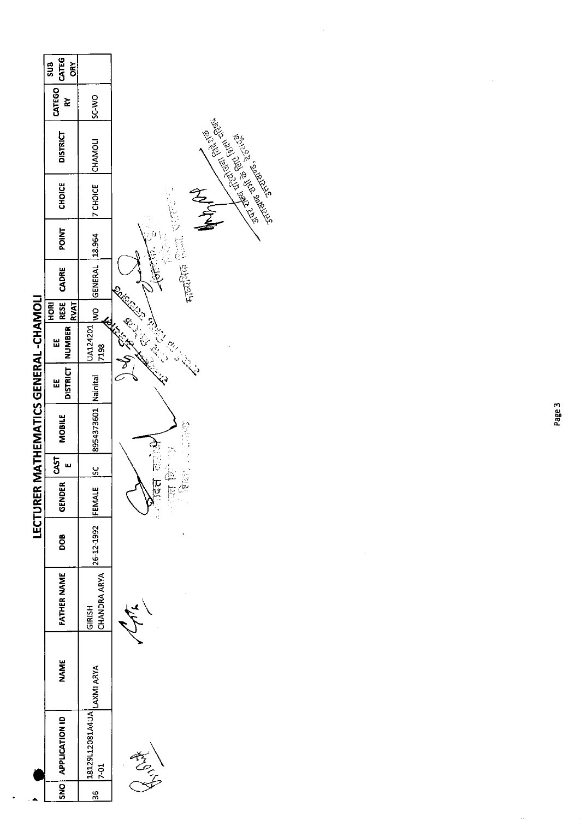|                                       | CATEG<br>SUB<br><b>ORY</b>                    |                              |                                      |
|---------------------------------------|-----------------------------------------------|------------------------------|--------------------------------------|
|                                       | CATEGO<br>ř                                   | SC-WO                        |                                      |
|                                       | <b>DISTRICT</b>                               | CHAMOLI                      | EXERCT REVIEW ROOM                   |
|                                       | <b>CHOICE</b>                                 | <b>7 CHOICE</b>              | 10000000<br>The Contractor           |
|                                       | POINT                                         | 18.964                       |                                      |
|                                       | CADRE                                         | <b>GENERAL</b>               | 沙漠魔兽                                 |
|                                       | $ \text{RES} \$<br><b>RVAT</b><br><b>FORI</b> | $rac{6}{5}$                  |                                      |
|                                       | <b>NUMBER</b><br>Ш                            | UA124201<br>7198             | Call of Call of<br><b>REAT CARDS</b> |
|                                       | <b>DISTRICT</b><br>Ш                          | Nainital                     | $\sum_{i=1}^{n}$                     |
| LECTURER MATHEMATICS GENERAL -CHAMOLI | <b>MOBILE</b>                                 | 8954373601                   | ie<br>Li                             |
|                                       | <b>CAST</b><br>$\mathbf{u}$                   | $\frac{5}{2}$                |                                      |
|                                       | DER<br><b>CEND</b>                            | 쁘<br><b>FEMAL</b>            | ic<br>C<br>一下<br>Ī                   |
|                                       | DOB                                           | 26-12-1992                   |                                      |
|                                       | <b>FATHER NAME</b>                            | CHANDRA ARYA<br>GIRISH       |                                      |
|                                       | <b>NAME</b>                                   | LAXMI ARYA                   |                                      |
|                                       | <b>APPLICATION ID</b>                         | 18129L12081A4UA<br>$17 - 01$ | $\frac{1}{2}$                        |
|                                       | <b>ONS</b>                                    | $\frac{36}{2}$               |                                      |

.

ł,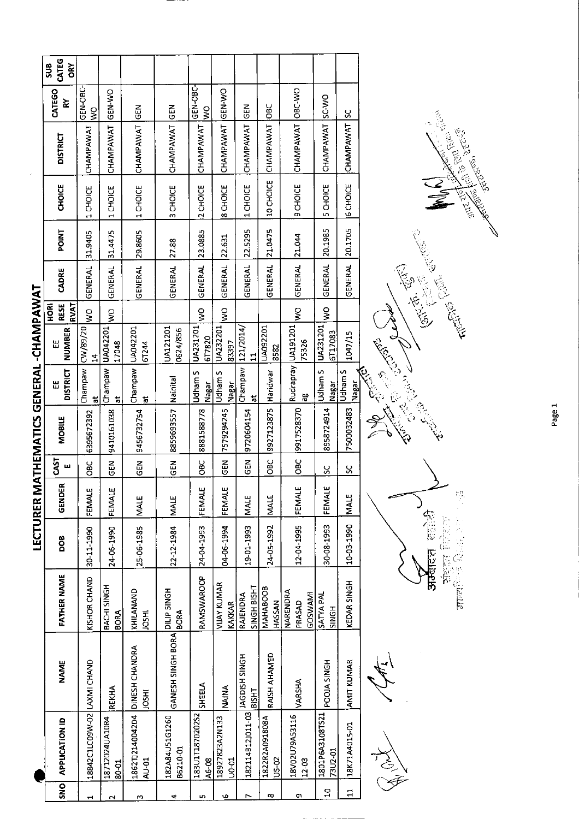| ı                                                        |  |
|----------------------------------------------------------|--|
|                                                          |  |
|                                                          |  |
| l                                                        |  |
|                                                          |  |
|                                                          |  |
|                                                          |  |
|                                                          |  |
|                                                          |  |
| $\ddot{\phantom{a}}$                                     |  |
|                                                          |  |
|                                                          |  |
| $\ddot{\phantom{0}}$<br>ı                                |  |
| ľ                                                        |  |
| l                                                        |  |
|                                                          |  |
| j                                                        |  |
|                                                          |  |
|                                                          |  |
| Ī                                                        |  |
| ſ                                                        |  |
|                                                          |  |
|                                                          |  |
|                                                          |  |
|                                                          |  |
|                                                          |  |
|                                                          |  |
|                                                          |  |
|                                                          |  |
|                                                          |  |
|                                                          |  |
|                                                          |  |
|                                                          |  |
|                                                          |  |
| ֧֧֧֦֧֦֧֦֧֦֧֦֧֦֧֦֧֦֧֧֞֝֬֝֬֝֬֝֬֓֬֓֓֬֓֓֕֓֓֬֓֓֕֓֓֬֓֓֝֬֓֓֓֓׆֬ |  |
| Í                                                        |  |
| l                                                        |  |

 $\hat{\boldsymbol{\beta}}$ 

|                |                                 |                                      |                                             |            | <b>LECTURER M</b> |               | ATHEMATICS GENERAL -CHAMPAWAT |                                            |                             |                                           |                  |                                                                                                                                                                                                                               |                                           |                      |                                  |                            |
|----------------|---------------------------------|--------------------------------------|---------------------------------------------|------------|-------------------|---------------|-------------------------------|--------------------------------------------|-----------------------------|-------------------------------------------|------------------|-------------------------------------------------------------------------------------------------------------------------------------------------------------------------------------------------------------------------------|-------------------------------------------|----------------------|----------------------------------|----------------------------|
| $rac{1}{25}$   | <b>APPLICATION ID</b>           | <b>NAME</b>                          | FATHER NAME                                 | poa        | GENDER            | 54<br>ш       | MOBILE                        | <b>DISTRICT</b><br>삆                       | <b>NUMBER</b><br>Ш          | <b>RESE</b><br><b>RVAT</b><br><b>ROKI</b> | CADRE            | <b>POINT</b>                                                                                                                                                                                                                  | <b>CHOICE</b>                             | <b>DISTRICT</b>      | CATEGO<br>₹                      | CATEG<br>SUB<br><b>GRY</b> |
|                | 18842C1LC09W-02                 | LAXMI CHAND                          | KISHOR CHAND                                | 30-11-1990 | FEMALE            | <b>OBC</b>    | 6395672392                    | Champaw<br>ੱਰ                              | CW/89/20<br>$\mathbf{z}$    | Š                                         | GENERAL          | 31.9405                                                                                                                                                                                                                       | <b>CHOICE</b><br>$\overline{\phantom{0}}$ | CHAMPAWAT            | GEN-OBC-<br>$\tilde{\mathbf{z}}$ |                            |
|                | 18712024UA10R4<br>80-01         | <b>REKHA</b>                         | BACHI SINGH<br><b>BORA</b>                  | 24 06 1990 | FEMALE            | <b>GEN</b>    | 9410161038                    | $\ddot{a}$                                 | Champaw   UA042201<br>17048 | Š                                         | <b>GENERAL</b>   | 31.4475                                                                                                                                                                                                                       | CHOICE<br>$\blacksquare$                  | CHAMPAWAT            | GEN-WO                           |                            |
|                | 1862TJ2140042D4<br><b>AU-01</b> | DINESH CHANDRA<br>105H1              | KHILANAND<br><b>IRSHI</b>                   | 25-06-1985 | <b>MALE</b>       | $\frac{2}{5}$ | 9456732754                    | Champaw<br>ਨ                               | UA042201<br>67244           |                                           | GENERAL          | 29.8605                                                                                                                                                                                                                       | 1 CHOICE                                  | CHAMPAWAT            | $rac{2}{5}$                      |                            |
|                | 182A84U51G1260<br>B6210-01      | GANESH SINGH BORA CALLP SINGH        | <b>BORA</b>                                 | 22 12 1984 | <b>MALE</b>       | $rac{1}{5}$   | 8859693557                    | Nainital                                   | UA121201<br>0624/856        |                                           | <b>GENERAL</b>   | 27.88                                                                                                                                                                                                                         | CHOICE<br>m                               | CHAMPAWAT            | M30                              |                            |
|                | 183U1T187020252<br>A6-08        | SHEELA                               | RAMSWAROOP                                  | 24-04-1993 | FEMALE            | <b>OBC</b>    | 8881588778                    | n<br>udham<br>Nagar                        | UA231201<br>617820          | ş                                         | GENERAL          | 23.0885                                                                                                                                                                                                                       | CHOICE<br>$\sim$                          | CHAMPAWAT            | GEN-OBC-<br>$\frac{1}{2}$        |                            |
|                | 18927823A2N133<br><b>U0-01</b>  | NAINA                                | <b>VIJAY KUMAR</b><br>KAKKAR                | 04-06-1994 | FEMALE            | $\tilde{5}$   | 7579294245                    | Udham S<br>Nagar                           | UA232201<br>83397           | Š                                         | GENERAL          | 22.631                                                                                                                                                                                                                        | 8 CHOICE                                  | CHAMPAWAT            | GEN-WO                           |                            |
|                | 182114B12J011-03                | <b>JAGDISH SINGH</b><br><b>THSIB</b> | SINGH BISHT<br>RAJENDRA                     | 19-01-1993 | MALE              | GEN           | 9720604154                    | Champaw<br>$\overline{\phantom{a}}$        | 121/2014/<br>$\mathbf{I}$   |                                           | GENERAL          | 22.5295                                                                                                                                                                                                                       | 1 CHOICE                                  | CHAMPAWAT            | <b>CEN</b>                       |                            |
|                | 1822R2A091808A<br>US-02         | RAISH AHAMED                         | MAHABOOB<br>HASSAN                          | 24-05-1992 | <b>MALE</b>       | <b>OBC</b>    | 9927123875                    | Haridwar                                   | UA092201<br>8582            |                                           | GENERAL          | 21.0475                                                                                                                                                                                                                       | 10 CHOICE                                 | CHAMPAWAT            | <b>OBC</b>                       |                            |
|                | 18V02U79A53116<br>$12 - 03$     | VARSHA                               | <b>NARENDRA</b><br><b>GOSWAMI</b><br>PRASAD | 12-04-1995 | FEMALE            | <b>OBC</b>    | 9917528370                    | æ                                          | Rudrapray UA191201<br>75326 | g                                         | <b>GENERAL</b>   | 21.044                                                                                                                                                                                                                        | 9 CHOICE                                  | <b>CHAMPAWAT</b>     | OBC-WO                           |                            |
| $\overline{a}$ | 1801P6A3108TS21<br>73U2-01      | <b>POOIA SINGH</b>                   | <b>SATYA PAL</b><br>SINGH                   | 30-08-1993 | FEMALE            | χ             | 8958724914                    | Udham S<br>Nagar                           | UA231201<br>6117083         | ş                                         | GENERAL          | 20.1985                                                                                                                                                                                                                       | <b>CHOICE</b><br>in,                      | CHAMPAWAT            | <b>SC-WO</b>                     |                            |
| Ħ              | 18K71A4015-01                   | AMIT KUMAR                           | KEDAR SINGH                                 | 10-03-1990 | <b>MALE</b>       | ჯ             | 7500032483                    | Udham S<br>Nagar                           | 1047/15                     |                                           | GENERAL          | 20.1705                                                                                                                                                                                                                       | <b>6 CHOICE</b>                           | CHAMPAWAT            | <u>ပ</u>                         |                            |
|                | 高安                              |                                      | <b>STEERING</b>                             | 计合适器       | $\frac{1}{2}$     |               |                               | Control Control Reserve<br><b>Children</b> |                             |                                           | Company Register | ARANG CENTRAL CENTRAL CENTRAL CENTRAL CENTRAL CENTRAL CENTRAL CENTRAL CENTRAL CENTRAL CENTRAL CENTRAL CENTRAL CENTRAL CENTRAL CENTRAL CENTRAL CENTRAL CENTRAL CENTRAL CENTRAL CENTRAL CENTRAL CENTRAL CENTRAL CENTRAL CENTRAL |                                           | Arthur Marian Silver |                                  |                            |

Í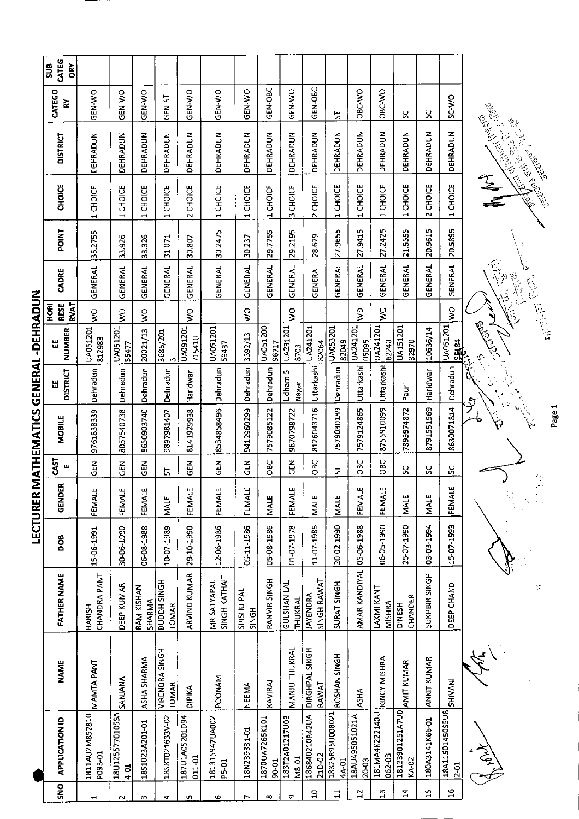|   | CATEG<br><b>SUB</b><br>ŎŔ          |                               |                                           |                             |                                              |                          |                                            |                                 |                          |                               |                                |                          |                         |                               |                          |                      |                           |           |                                                                                      |
|---|------------------------------------|-------------------------------|-------------------------------------------|-----------------------------|----------------------------------------------|--------------------------|--------------------------------------------|---------------------------------|--------------------------|-------------------------------|--------------------------------|--------------------------|-------------------------|-------------------------------|--------------------------|----------------------|---------------------------|-----------|--------------------------------------------------------------------------------------|
|   | CATEGO<br>≿                        | GEN-WO                        | GEN-WO                                    | GEN-WO                      | <b>GEN-ST</b>                                | GEN-WO                   | GEN-WO                                     | GEN-WO                          | GEN-OBC                  | GEN-WO                        | GEN-OBC                        | 5                        | OBC-VVO                 | OBC-WO                        | ပ္တ                      | ပ္ပ                  | SC-WO                     |           |                                                                                      |
|   | <b>DISTRICT</b>                    | <b>DEHRADUN</b>               | DEHRADUN                                  | DEHRADUN                    | DEHRADUN                                     | DEHRADUN                 | DEHRADUN                                   | DEHRADUN                        | DEHRADUN                 | <b>DEHRADUN</b>               | DEHRADUN                       | DEHRADUN                 | DEHRADUN                | DEHRADUN                      | DEHRADUN                 | <b>DEHRADUN</b>      | DEHRADUN                  |           | <b>AREA SERVER SERVER</b><br><b>Contract of Children Report Contract of Children</b> |
|   | <b>CHOICE</b>                      | 1 CHOICE                      | <b>CHOICE</b><br>$\overline{\phantom{0}}$ | CHOICE<br>$\blacksquare$    | CHOICE<br>$\mathbf{\mathbf{t}}$              | 2 CHOICE                 | CHOICE<br>$\overline{\phantom{0}}$         | CHOICE<br>$\mathbf{\mathbf{t}}$ | CHOICE<br>$\blacksquare$ | CHOICE<br>m                   | CHOICE<br>$\sim$               | CHOICE<br>$\blacksquare$ | CHOICE<br>$\mathbf{H}$  | <b>CHOICE</b><br>$\mathbf{r}$ | CHOICE<br>$\mathbf{r}$   | 2 CHOICE             | CHOICE<br>$\overline{a}$  |           |                                                                                      |
|   | POINT                              | 35.2755                       | 33.926                                    | 33.326                      | 31.071                                       | 30.807                   | 30.2475                                    | 30.237                          | 29.7755                  | 29.2195                       | 28.679                         | 27.9655                  | 27.9415                 | 27.2425                       | 21.5555                  | 20.9615              | 20.5895                   |           |                                                                                      |
|   | CADRE                              | <b>GENERAL</b>                | GENERAL                                   | GENERAL                     | GENERAL                                      | GENERAL                  | GENERAL                                    | GENERAL                         | GENERAL                  | GENERAL                       | GENERAL                        | <b>GENERAL</b>           | GENERAL                 | GENERAL                       | GENERAL                  | GENERAL              | GENERAL                   |           | $\backslash$<br>E.<br>ŷ                                                              |
|   | <b>RVAT</b><br><b>RESE</b><br>HORI | Ş                             | ş                                         | Ş                           |                                              | S                        |                                            | $\frac{1}{2}$                   |                          | $\frac{1}{2}$                 |                                |                          | $\frac{1}{2}$           | Ş                             |                          |                      | Ş                         |           |                                                                                      |
|   | <b>NUMBER</b><br>出                 | UA051201<br>812983            | UA051201<br>55477                         | 20021/13                    | $\begin{array}{c} 3685/201 \\ 3 \end{array}$ | UA091201<br>715410       | UA051201<br>59437                          | 3392/13                         | UA051200<br>96717        | UA231201<br>8703              | UA241201<br>82064              | UA053201<br>82049        | UA241201<br>05095       | UA241201<br>62240             | <b>UA151201</b><br>32970 | 10636/14             | UA051201<br><b>PSKE</b>   | Citylian  |                                                                                      |
|   | <b>DISTRICT</b><br>Ш               | Dehradun                      | Dehradun                                  | Dehradun                    | Dehradun                                     | Haridwar                 | Dehradun                                   | Dehradun                        | Dehradun                 | m<br>Udham<br>Nagar           | Uttarkashi                     | Dehradun                 | Uttarkashi              | Uttarkashi                    | Pauri                    | Haridwar             | Dehradun                  |           |                                                                                      |
|   | <b>MOBILE</b>                      | 9761838339                    | 8057540738                                | 8650903740                  | 9897981407                                   | 8141929938               | 8534858496                                 | 9412960299                      | 7579085122               | 9870798722                    | 8126043716                     | 7579030189               | 7579124865              | 8755910099                    | 7895974872               | 8791551969           | 8630071814                |           |                                                                                      |
|   | <b>TSAS</b><br>ш                   | <b>SEN</b>                    | មិ<br>ច                                   | មិ<br>ច                     | 5                                            | GEN                      | <b>SEN</b>                                 | 즈<br>55                         | OBC                      | NB<br>GE                      | OBC                            | p                        | OBC                     | OBC                           | ပ္တ                      | ပ္တ                  | ပ္တ                       |           |                                                                                      |
| į | GENDER                             | FEMALE                        | FEMALE                                    | FEMALE                      | <b>MALE</b>                                  | FEMALE                   | FEMALE                                     | FEMALE                          | MALE                     | FEMALE                        | <b>MALE</b>                    | <b>NALE</b>              | FEMALE                  | FEMALE                        | MALE                     | <b>NALE</b>          | ш<br>FEMAL                |           | R                                                                                    |
|   | DOB                                | 15-06-1991                    | 30-06-1990                                | 06-08-1988                  | 10-07-1989                                   | 29-10-1990               | 12-06-1986                                 | 05-11-1986                      | 05-08-1986               | 01-07-1978                    | 11-07-1985                     | 20-02-1990               | 05-06-1988              | 06-05-1990                    | 25-07-1990               | 03-03-1994           | 15-07-1993                |           |                                                                                      |
|   | <b>FATHER NAME</b>                 | CHANDRA PANT<br><b>HARISH</b> | DEEP KUMAR                                | <b>RAM KISHAN</b><br>SHARMA | <b>BUDDH SINGH</b><br><b>TOMAR</b>           | <b>ARVIND KUMAR</b>      | <b>SINGH KATHAIT</b><br><b>MR SATYAPAL</b> | SHISHU PAL<br><b>SINGH</b>      | RANVIR SINGH             | <b>GULSHAN LAL</b><br>THUKRAL | SINGH RAWAT<br><b>JAYENDRA</b> | SURAT SINGH              | AMAR KANDIYAL           | LAXMI KANT<br>MISHRA          | CHANDER<br><b>DINESH</b> | <b>SUKHBIR SINGH</b> | DEEP CHAND                |           | $\frac{1}{12}$                                                                       |
|   | <b>NAME</b>                        | MANTA PANT                    | SANJANA                                   | ASHA SHARMA                 | <b>VIRENDRA SINGH</b><br><b>TOMAR</b>        | DIPIKA                   | <b>POONAM</b>                              | <b>NEEMA</b>                    | KAVIRAJ                  | MANU THUKRAL                  | <b>DIRGHPAL SINGH</b><br>RAWAT | ROSHAN SINGH             | <b>A5HA</b>             | KINCY MISHRA                  | AMIT KUMAR               | ANKIT KUMAR          | <b>SHIVANI</b>            |           |                                                                                      |
|   | <b>APPLICATION ID</b>              | 1811AU2M852810<br>P093-01     | 18U1255770105SA<br>$4 - 01$               | 1851023A201-01              | 1858T021633V-02                              | 187U1A05201D94<br>011-01 | 181315947UA002<br>P5-01                    | 18N239331-01                    | 1870UA7265K101<br>90-01  | 183T2A01217U03<br>M8-01       | 186840210R42UA<br>21D-02       | 18325R95U008021<br>4A-01 | 18AU495051021A<br>20-03 | 181MA4K222140U<br>062-03      | 18123901251A7U0<br>KA-02 | 180A3141K66-01       | 18A11501450S5U8<br>$2-01$ | کیے<br>غر |                                                                                      |
|   | <b>SNO</b>                         |                               |                                           | m                           | 4                                            | S                        | G                                          | r                               | $\infty$                 | <b>o</b>                      | $\Xi$                          | $\mathbf{1}$             | 12                      | $\frac{3}{4}$                 | 4                        | $\frac{5}{2}$        | $\frac{9}{11}$            |           |                                                                                      |

LECTURER MATHEMATICS GENERAL -DEHRADUN

Page 1

**C. Replacement of C. Replacement** 

**CONTRACTOR**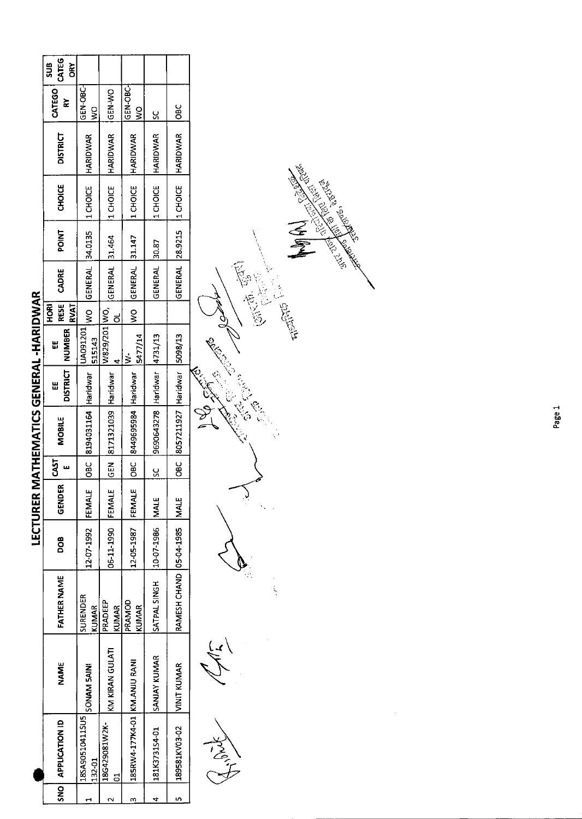|                              |                     |                                  |                   | LECTURER |          | MATHEMATICS GENERAL -HARIDWAR   |                      |                    |                                          |                   |                              |          |                 |                           |                        |
|------------------------------|---------------------|----------------------------------|-------------------|----------|----------|---------------------------------|----------------------|--------------------|------------------------------------------|-------------------|------------------------------|----------|-----------------|---------------------------|------------------------|
| NO APPLICATION ID            | NAME                | <b>FATHER NAME</b>               | 80                | GENDER   | 55       | MOBILE                          | <b>DISTRICT</b><br>띮 | <b>NUMBER</b><br>出 | <b>RESE</b><br><b>RVAT</b><br><b>ROH</b> | CADRE             | <b>POINT</b>                 | CHOICE   | <b>DISTRICT</b> | CATEGO<br>≿               | CATEG<br>SUB<br>č<br>6 |
| 18SA90510411SU5<br>132-01    | <b>SONAM SAIN!</b>  | SURENDER<br><b>KUMAR</b>         | 12-07-1992 FEMALE |          |          | OBC 8194031164 Haridwar         |                      | JA091201<br>515143 |                                          |                   | WO GENERAL 34.0135 11 CHOICE |          | HARIDWAR        | GEN-OBC-<br>$\frac{1}{2}$ |                        |
| 18G429081W2K-                | KM KIRAN GULATI     | PRADEEP<br><b>KUMAR</b>          | 06-11-1990 FEMALE |          |          | GEN 8171321039 Haridwar         |                      | W829/201 WO,       |                                          | GENERAL 31.464    |                              | 1 CHOICE | HARIDWAR        | GEN-WO                    |                        |
| 185RW4-177K4-01 KM.ANJU RANI |                     | PRAMOD<br>KUMAR                  | 12-05-1987        | FEMALE   |          | OBC 8449695984 Haridwar         |                      | 5477/14            |                                          | WO GENERAL 31.147 |                              | 1 CHOICE | HARIDWAR        | GEN-OBC-<br>S             |                        |
| 181K3731S4-01                | <b>SANJAY KUMAR</b> | SATPAL SINGH                     | 10-07-1986        | MALE     | <u>ს</u> | 9690643278 Haridwar 4731/13     |                      |                    |                                          | GENERAL 30.87     |                              | 1 CHOICE | <b>HARIDWAR</b> | $\frac{8}{5}$             |                        |
| 189581KV03-02                | VINIT KUMAR         | RAMESH CHAND   05-04-1985   MALE |                   |          |          | OBC 8057211927 Haridwar 5098/13 |                      |                    |                                          |                   | GENERAL 28.9215 11 CHOICE    |          | <b>HARIDWAR</b> | $rac{6}{6}$               |                        |
|                              |                     |                                  |                   |          |          |                                 |                      |                    |                                          |                   |                              |          |                 |                           |                        |



CONGE CON 

**POLICE RD** Concept Conce

> ASILITY REPORT Canada (2)

ERS.

NOWER

Control Control

1995-1997)<br>1995-1997<br>1996-1997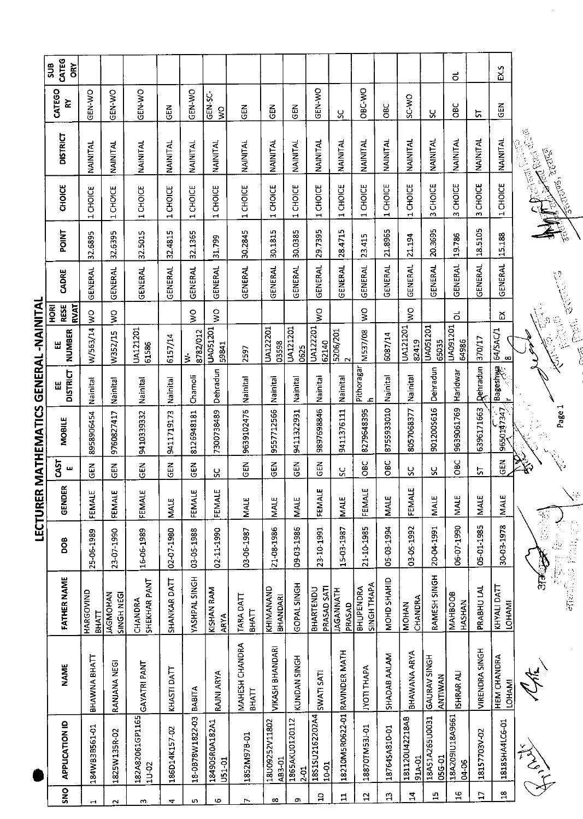SEIN 9650147347 Bagesnwa 164/5AC/1 Ex

Page 1  $\frac{1}{2}$ 

> 不可以 一篇章 特色图书 14 計算の अर्क्ट

 $\sqrt{2}$ 

 $\begin{bmatrix} 18 & 18185\mathrm{HA4LGe-O1} & \mathrm{HEM CHANDRA} \ 12 & 18185\mathrm{HA4LGe-O1} & \mathrm{LCHAM1} \end{bmatrix}$ Ŧ

恩命

**ASSEE City** 

**FERTONS,** 

医适应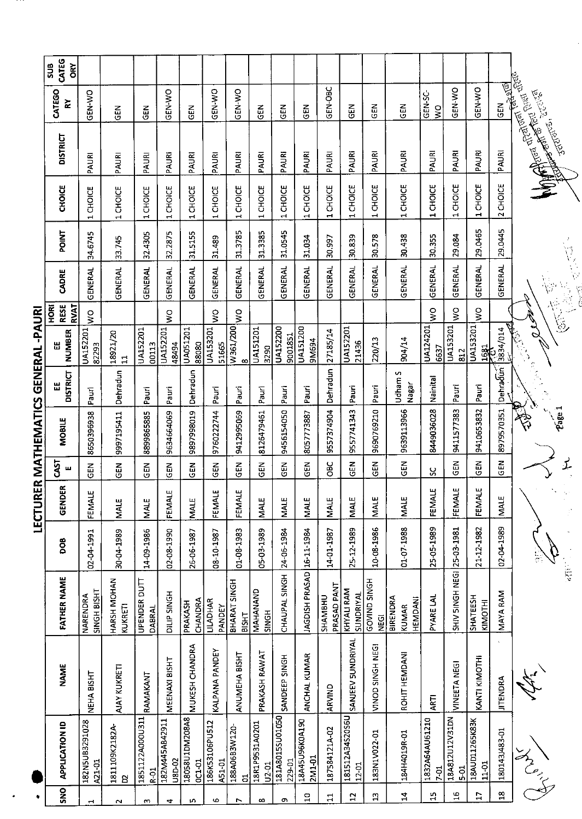|                                   | CATEG<br>SUB<br>ÕΚ                 |                          |                               |                           |                          |                          |                          |                       |                         |                           |                           |                               |                              |                             |                                            |                                    |                        |                                |                       |                                      |
|-----------------------------------|------------------------------------|--------------------------|-------------------------------|---------------------------|--------------------------|--------------------------|--------------------------|-----------------------|-------------------------|---------------------------|---------------------------|-------------------------------|------------------------------|-----------------------------|--------------------------------------------|------------------------------------|------------------------|--------------------------------|-----------------------|--------------------------------------|
|                                   | CATEGO<br>$\tilde{\mathbf{z}}$     | GEN-WO                   | M3D                           | 군<br>영                    | GEN-WO                   | 도<br>55                  | GEN-WO                   | <b>CEN-WO</b>         | <b>GEN</b>              | この<br>この                  | មិ<br>ច                   | GEN-OBC                       | 즶                            | 즶                           | <b>GEN</b>                                 | GEN-SC-<br>$\frac{1}{2}$           | GEN-WO                 | GEN-WO                         | <b>GEN</b>            | <b>REGISTER POINTS IN THE REGIST</b> |
|                                   | <b>DISTRICT</b>                    | PAURI                    | PAURI                         | PAURI                     | PAURI                    | PAURI                    | PAURI                    | PAURI                 | PAURI                   | PAURI                     | PAURI                     | PAURI                         | PAURI                        | PAURI                       | PAURI                                      | PAURI                              | PAURI                  | PAURI                          | PAURI                 | M - The Ballish - M                  |
|                                   | <b>CHOICE</b>                      | CHOICE<br>$\blacksquare$ | 1 CHOICE                      | 1 CHOICE                  | 1 CHOICE                 | 1 CHOICE                 | 1 CHOICE                 | 1 CHOICE              | 1 CHOICE                | 1 CHOICE                  | 1CHOICE                   | 1 CHOICE                      | 1 CHOICE                     | 1 CHOICE                    | 1 CHOICE                                   | CHOICE<br>$\overline{\phantom{0}}$ | 1 CHOICE               | CHOICE<br>$\blacksquare$       | 2 CHOICE              |                                      |
|                                   | POINT                              | 34.6745                  | 33.745                        | 32.4305                   | 32.2875                  | 31.5155                  | 31.489                   | 31.3785               | 31.3385                 | 31.0545                   | 31.034                    | 30.997                        | 30.839                       | 30.578                      | 30438                                      | 30.355                             | 29.084                 | 29.0465                        | 29.0445               |                                      |
|                                   | CADRE                              | <b>GENERAL</b>           | <b>GENERAL</b>                | GENERAL                   | GENERAL                  | <b>GENERAL</b>           | GENERAL                  | <b>GENERAL</b>        | GENERAL                 | <b>GENERAL</b>            | <b>GENERAL</b>            | GENERAL                       | <b>GENERAL</b>               | GENERAL                     | <b>GENERAL</b>                             | <b>GENERAL</b>                     | <b>GENERAL</b>         | <b>GENERAL</b>                 | <b>GENERAL</b>        |                                      |
|                                   | <b>RVAT</b><br><b>RESE</b><br>HORI | $\frac{1}{2}$            |                               |                           | ş                        |                          | Ş                        | $\frac{1}{2}$         |                         |                           |                           |                               |                              |                             |                                            | $\frac{1}{2}$                      | Ş                      | ş                              |                       | ر وصی م                              |
| ミンキンド                             | <b>NUMBER</b><br>Ш                 | UA152201<br>82293        | 18921/20<br>$\mathbf{1}$      | UA152201<br>00113         | UA152201<br>48494        | UA051201<br>88080        | <b>UA153201</b><br>51665 | W361/200<br>$\infty$  | UA151201<br>3290        | UA152200<br>9001851       | UA151200<br>9M694         | 27185/14                      | UA152201<br>21436            | 220/13                      | 904/14                                     | UA124201<br>6637                   | UA153201<br>812        | UA153201<br>$\frac{1681}{256}$ | 3834/014              |                                      |
|                                   | <b>DISTRICT</b><br>Ш               | Pauri                    | Dehradun                      | Pauri                     | Pauri                    | Dehradun                 | Pauri                    | Pauri                 | Pauri                   | Pauri                     | Pauri                     | Dehradun                      | Pauri                        | Pauri                       | Udham S<br>Nagar                           | Nainital                           | Pauri                  | Pauri                          | Dehradun <sup>7</sup> |                                      |
| <u>EKINININ QITKININ TKINI KI</u> | MOBILE                             | 8650396938               | 9997195411                    | 8899865885                | 9634664069               | 6T08664686               | 9760222744               | 9412995069            | 8126479461              | 9456154050                | 8057773887                | 9557374904                    | 9557741343                   | 9690769210                  | 9639113966                                 | 8449036028                         | 9411577383             | 9410653832                     | 8979570351            | 参                                    |
|                                   | <b>CAST</b><br>Щ                   | <b>GEN</b>               | GEN                           | <b>GEN</b>                | ភូមិ<br>ប្រ              | <b>SED</b>               | $\tilde{\mathbb{E}}$     | $\frac{5}{3}$         | GEN                     | <b>GEN</b>                | <b>GEN</b>                | <b>DBC</b>                    | <b>SEN</b>                   | <b>GEN</b>                  | GEN                                        | ပ္တ                                | <b>GEN</b>             | $\Xi$                          | <b>A</b>              |                                      |
| ואח הרבה<br>דבר ה                 | œ<br>GENDEI                        | FEMALE                   | <b>MALE</b>                   | <b>MALE</b>               | FEMALE                   | MALE                     | FEMALE                   | FEMALE                | <b>MALE</b>             | <b>MALE</b>               | <b>MALE</b>               | <b>MALE</b>                   | MALE                         | <b>MALE</b>                 | MALE                                       | FEMALE                             | FEMALE                 | ш<br>FEMALE                    | <b>MALE</b>           |                                      |
|                                   | OOB                                | 1661-10-Z0               | 30-04-1989                    | 14-09-1986                | 02-08-1990               | 26-06-1987               | 08-10-1987               | 01-08-1983            | 05-03-1989              | 24-06-1984                |                           | 14-01-1987                    | 25-12-1989                   | 10-08-1986                  | 01-07-1988                                 | 25-05-1989                         | 25-03-1981             | 21-12-1982                     | 02-04-1989            |                                      |
|                                   | <b>FATHER NAME</b>                 | SINGH BISHT<br>NARENDRA  | HARSH MOHAN<br><b>KUKRETI</b> | UPENDER DUTT<br>DABRAL    | DILIP SINGH              | CHANDRA<br>PRAKASH       | LILADHAR<br>PANDEY       | BHARAT SINGH<br>BISHT | MAHANAND<br>SINGH       | CHAUPAL SINGH             | JAGDISH PRASAD 16-11-1984 | PRASAD PANT<br><b>CHAMBHU</b> | KHYALI RAM<br>SUNDRIYAL      | GOVIND SINGH<br><b>VEGI</b> | <b>BIRENDRA</b><br>HEMDANI<br><b>KUMAR</b> | <b>PYARE LAL</b>                   | SHIV 5INGH NEGI        | SHATEESH<br>KIMOTHI            | <b>MAYA RAM</b>       |                                      |
|                                   | <b>NAME</b>                        | NEHA BISHT               | AJAY KUKRETI                  | RAMAKANT                  | MEENAXI BISHT            | MUKESH CHANDRA           | <b>KALPANA PANDEY</b>    | ANUMEHA BISHT         | PRAKASH RAWAT           | SANDEEP SINGH             | ANCHAL KUMAR              | ARVIND                        | SANJEEV SUNDRIYAL            | VINOD SINGH NEGI            | ROHIT HEMDANI                              | ARTI                               | VINEETA NEGI           | KANTI KIMOTHI                  | <b>JITENDRA</b>       |                                      |
|                                   | <b>APPLICATION ID</b>              | 182N5UB3291028<br>A21-01 | 1811109K2182A-<br>Β           | 1851122A000U311<br>$R-01$ | 182M445AB42911<br>U8D-02 | 18058U1DM208A8<br>0C1-01 | 186K53106PU512<br>A51-01 | 188A06B3W120-<br>đ    | 18R1P9531A0201<br>U2-01 | 181A8015SU01050<br>229-01 | 18A45U96K0A190<br>2M1-01  | 187584121A-02                 | 181512A34S20S6U<br>$12 - 01$ | 183N1V022-01                | 184H4019R-01                               | 1832A64AU61210<br>$7-01$           | 18A812U12V31DN<br>5-01 | 18AUD11265K83K<br>$11-01$      | 180143J483-01         | JAN C                                |
|                                   | $rac{1}{2}$                        |                          | $\sim$                        | m                         | 4                        | in.                      | Ó.                       | $\overline{ }$        | $\infty$                | c                         | $\overline{a}$            | $\Xi$                         | $\overline{12}$              | $\mathfrak{a}$              | $\mathbf{1}$                               | $\Xi$                              | $\frac{6}{1}$          | $\mathbf{r}$                   | $\mathbf{5}$          |                                      |

**I FCTI IRER MATHEMATICS GENERAI -PAIRI** 

A.H.

Articles of the light

**Hundred Committee Report Property**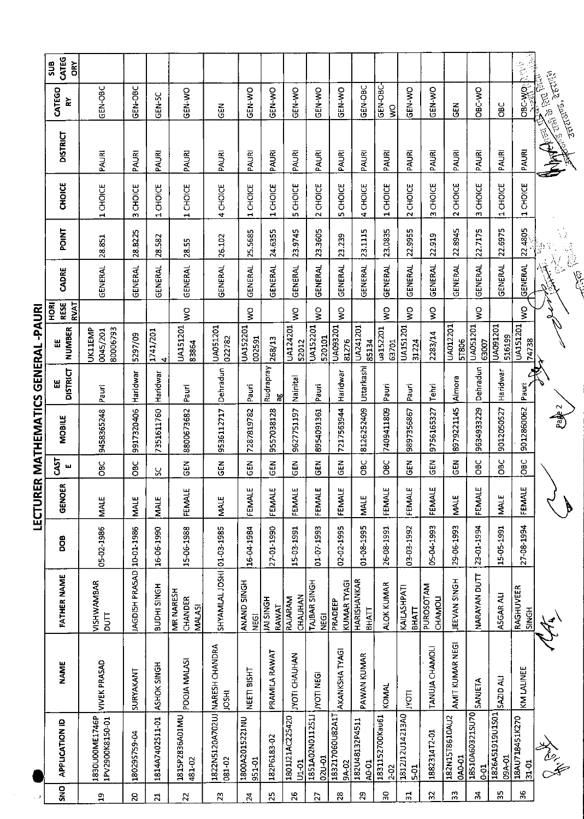| SNO                     | <b>APPLICATION ID</b>             | <b>NAME</b>                                    | FATHER NAME                           | <b>BOO</b> | 5<br><b>GENOI</b> | 5T<br>ш        | MOBILE     | <b>DISTRICT</b><br>띮 | <b>NUMBER</b><br>띮              | <b>RESE</b><br>RVAT<br>HORI | CADRE                         | POINT   | <b>CHOICE</b>                  | <b>DISTRICT</b> | CATEGO<br>≿                                                  | CATEG<br>sus<br>Ğ        |
|-------------------------|-----------------------------------|------------------------------------------------|---------------------------------------|------------|-------------------|----------------|------------|----------------------|---------------------------------|-----------------------------|-------------------------------|---------|--------------------------------|-----------------|--------------------------------------------------------------|--------------------------|
| ភ្ន                     | 1830U00ME1746P<br>1PV2900K8150-01 | <b>VIVEK PRASAD</b>                            | VISHWAMBAR<br><b>DUTT</b>             | 05-02-1986 | <b>NALE</b>       | <b>OBC</b>     | 9458365248 | Pauri                | 80006793<br>UK11EMP<br>0045/201 |                             | GENERAL                       | 28.851  | 1 CHOICE                       | PAURI           | GEN-OBC                                                      |                          |
| $\overline{c}$          | 18029S759-04                      | SURYAKANT                                      | <b>JAGDISH PRASAD</b>                 | 10-01-1986 | <b>MALE</b>       | OBC            | 9917320406 | Haridwar             | 5297/09                         |                             | GENERAL                       | 28.8225 | CHOICE<br>w                    | PAURI           | GEN-OBC                                                      |                          |
| $\overline{21}$         | 1814A7402S11-01                   | ASHOK SINGH                                    | BUDHI SINGH                           | 16-06-1990 | <b>MALE</b>       | ပ္တ            | 7351611760 | Haridwar             | 1741/201<br>4                   |                             | <b>GENERAL</b>                | 28.582  | 1 CHOICE                       | PAURI           | GEN-SC                                                       |                          |
| 22                      | 1815P2836A01MU<br>481-02          | POOJA MALASI                                   | MR NARESH<br>CHANDER<br><b>MALASI</b> | 15-06-1988 | ш<br>FEMALI       | $\frac{2}{9}$  | 8800673682 | Pauri                | UA151201<br>83864               | $\frac{1}{2}$               | GENERAL                       | 28.55   | 1 CHOICE                       | PAURI           | <b>ON-NO</b>                                                 |                          |
| $\overline{2}$          | 081-02                            | 1822N5120A702UJ NARESH CHANDRA<br><b>IDSHI</b> | SHYAMLAL JOSHI 01-03-1985             |            | <b>MALE</b>       | $\tilde{5}$    | 9536112717 | Dehradun             | UA051201<br>022782              |                             | <b>GENERAL</b>                | 26.102  | 4 CHOICE                       | PAURI           | $rac{2}{5}$                                                  |                          |
| $\mathbf{z}$            | 1800A2015221NU<br>951-01          | NEETI BISHT                                    | ANAND SINGH<br><b>NEGI</b>            | 16-04-1984 | ш<br>FEMALI       | $rac{1}{2}$    | 7287819782 | Pauri                | UA152201<br>002591              | š                           | <b>GENERAL</b>                | 25.5685 | 1 CHOICE                       | PAURI           | GEN-WO                                                       |                          |
| 25                      | 182P6183-02                       | PRAMILA RAWAT                                  | <b>HSINGH</b><br>RAWAT                | 27-01-1990 | ш<br>FEMALI       | ទី<br>ច        | 9557038128 | Rudrapray<br>æ       | 268/13                          |                             | <b>GENERAL</b>                | 24.6355 | 1 CHOICE                       | PAURI           | ON-X-20                                                      |                          |
| $26$                    | 1801J21AC225420<br>$U1 - 01$      | <b>IYOTI CHAUHAN</b>                           | CHAUHAN<br>RAJARAM                    | 15-03-1991 | ш<br>FEMALI       | <b>GEN</b>     | 9627751197 | Nainital             | UA124201<br>52012               | ş                           | GENERAL                       | 23.9745 | <b>5 CHOICE</b>                | PAURI           | GEN-WO                                                       |                          |
| $\overline{\mathbf{2}}$ | 1851A02N011251J<br>02U-01         | <b>JYOTI NEGI</b>                              | TAIBAR SINGH<br><b>NEGI</b>           | 01 07 1993 | ш<br>FEMALI       | 3<br>5         | 8954091361 | Pauri                | UA152201<br>520101              | ş                           | <b>GENERAL</b>                | 23.3605 | 2 CHOICE                       | PAURI           | <b>GEN-WO</b>                                                |                          |
| 28                      | 183217060U82A1T<br>9A-02          | AKANKSHA TYAGI                                 | <b>KUMAR TYAGI</b><br>PRADEEP         | 02-02-1995 | щ<br><b>FEMAL</b> | 군<br>55        | 7217563944 | Haridwar             | UA093201<br>81276               | ş                           | GENERAL                       | 23.239  | 5 CHOICE                       | PAURI           | GEN-WO                                                       |                          |
| $\mathbf{z}$            | 182U48132P4511<br>A0-01           | PAWAN KUMAR                                    | HARISHANKAR<br>ВНАТТ                  | 01-08-1995 | <b>MALE</b>       | OBC            | 8126252409 | Uttarkashi           | UA241201<br>85134               |                             | GENERAL                       | 23.1115 | 4 CHOICE                       | PAURI           | GEN-OBC                                                      |                          |
| 50                      | 1831152700Kau61<br>$2 - 0.2$      | KOMAL                                          | <b>ALOK KUMAR</b>                     | 26-08-1991 | щ<br>FEMAL        | <b>OBC</b>     | 7409411809 | Pauri                | ua152201<br>63701               | Ş                           | GENERAL                       | 23.0835 | 1 CHOICE                       | PAURI           | GEN-OBC-<br>$\frac{1}{2}$                                    |                          |
| ಸ                       | 1812112014213A0<br>$5-01$         | <b>IAOLI</b>                                   | KAILASHPATI<br><b>ВНАТТ</b>           | 03-03-1992 | ш<br>FEMAL        | $\overline{G}$ | 9897356867 | Pauri                | UA151201<br>31224               | Ş                           | GENERAL                       | 22.9955 | CHOICE<br>$\mathbf{\tilde{c}}$ | PAURI           | GEN-WO                                                       |                          |
| $\mathfrak{L}$          | 1882314T2-01                      | TANUJA CHAMOLI                                 | PUROSOTAM<br><b>CHAMOLI</b>           | 05-04-1993 | щ<br><b>FEMAL</b> | $\frac{2}{9}$  | 9756165327 | Tehri                | 2283/14                         | ş                           | <b>GENERAL</b>                | 22.919  | 3 CHOICE                       | PAURI           | <b>CEN-WO</b>                                                |                          |
| 33                      | 182N15T8610AU2<br><b>CAO-01</b>   | AMIT KUMAR NEGI                                | JEEVAN SINGH                          | 29-06-1993 | <b>MALE</b>       | <b>AB</b>      | 8979221145 | Almora               | UA012201<br>51806               |                             | <b>GENERAL</b>                | 22.8945 | 2 CHOICE                       | PAURI           | <b>GEN</b>                                                   |                          |
| 54                      | 18510A60321SU70<br>$0 - 01$       | SANIETA                                        | NARAYAN DUTT                          | 23-01-1994 | بىد<br>FEMAL      | <b>OBC</b>     | 9634933229 | Dehradun             | UA051201<br>63007               | $\mathsf{S}^{\mathsf{O}}$   | <b>GENERAL</b>                | 22.7175 | 3 CHOICE                       | PAURI           | <b>ORC-VO</b>                                                |                          |
| 35                      | 1826A51919U1S01<br>09A-01         | SAZID ALI                                      | ASGAR ALI                             | 15-05-1991 | <b>MALE</b>       | OBC            | 9012050527 | Haridwar             | UA091201<br>516199              |                             | <b>GENERAL</b>                | 22.6975 | 1 CHOICE                       | PAURI           | <b>SC</b>                                                    |                          |
| 36                      | 18AU718451K270<br>31-01           | KM LALINEE                                     | RAGHUVEER<br>SINGH                    | 27-08-1994 | بى<br>FEMAL       | OBC            | 9012860062 | Pauri                | UA151201<br>74738               | ş                           | <b>GENERAL</b>                | 22.4805 | 1 CHOICE                       | PAURI           | OBC-WOL                                                      | ्रै<br>$\mathbb{R}^{2n}$ |
|                         |                                   |                                                | $\frac{1}{2}$                         |            |                   |                | Page 2     |                      |                                 |                             | <b>Total Report</b><br>$\sim$ |         |                                | <b>MANEWS</b>   | <b>SELGA</b><br><b>And State State</b><br><b>JART 1955.1</b> |                          |

## LECTURER MATHEMATICS GENERAL -PAURI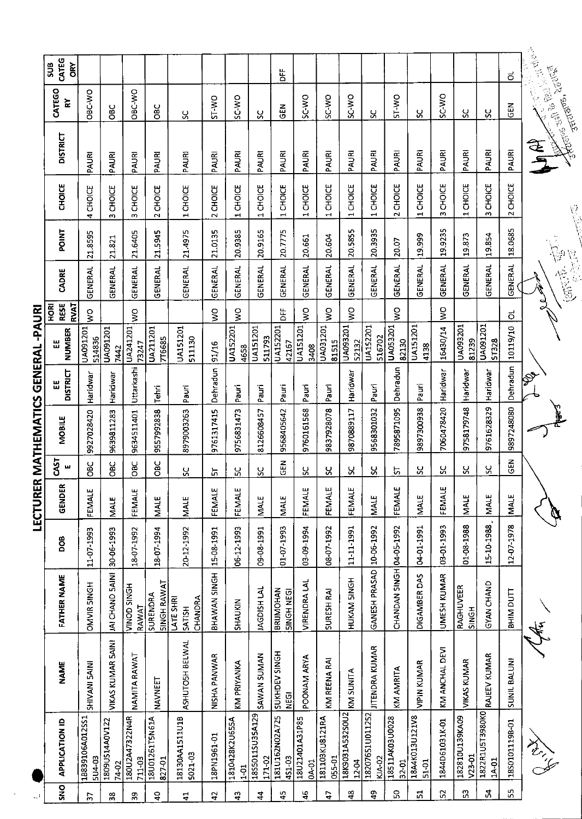| CATEG<br>SUB<br><b>ORY</b>         |                                  |                         |                             |                                |                                       |                |                                 |                           | ۴Ë                                   |                                |                          |                          |                           |                          |                         |                    |                            |                          | ಕ                   |                                                                                                                                                                                                                                  |
|------------------------------------|----------------------------------|-------------------------|-----------------------------|--------------------------------|---------------------------------------|----------------|---------------------------------|---------------------------|--------------------------------------|--------------------------------|--------------------------|--------------------------|---------------------------|--------------------------|-------------------------|--------------------|----------------------------|--------------------------|---------------------|----------------------------------------------------------------------------------------------------------------------------------------------------------------------------------------------------------------------------------|
| CATEGO<br>≿                        | <b>ORC-WO</b>                    | ă                       | OBC-WO                      | <b>SEC</b>                     | <u>ွ</u>                              | ST-VO          | <b>SC-WO</b>                    | ပ္တ                       | N<br>15                              | <b>SC-WO</b>                   | SC-WO                    | SC-WO                    | ႘                         | ST-WO                    | χ                       | <b>DAC-2S</b>      | ပ္တ                        | ပ္တ                      | <b>GEN</b>          | <b>25-2020 - 210-2120</b>                                                                                                                                                                                                        |
| <b>DISTRICT</b>                    | PAURI                            | PAURI                   | PAURI                       | PAURI                          | PAURI                                 | PAURI          | PAURI                           | PAURI                     | PAURI                                | PAURI                          | PAURI                    | PAURI                    | PAURI                     | PAURI                    | PAURI                   | PAURI              | PAURI                      | PAURI                    | PAURI               | Antelio III de Polo.<br><b>EAL</b>                                                                                                                                                                                               |
| <b>CHOICE</b>                      | <b>CHOICE</b><br>4               | 3 CHOICE                | 3 CHOICE                    | 2 CHOICE                       | 1 CHOICE                              | 2 CHOICE       | 1 CHOICE                        | 1 CHOICE                  | 1 CHOICE                             | 1 CHOICE                       | CHOICE<br>$\blacksquare$ | 1 CHOICE                 | 1 CHOICE                  | 2 CHOICE                 | 1 CHOICE                | 3 CHOICE           | 1 CHOICE                   | <b>CHOICE</b><br>m       | 2 CHOICE            |                                                                                                                                                                                                                                  |
| <b>ENIDE</b>                       | 21.8595                          | 21.821                  | 21.6405                     | 21.5945                        | 21.4975                               | 21.0135        | 20.9385                         | 20.9165                   | 20.7775                              | 20.661                         | 20.604                   | 20.5855                  | 20.3935                   | 20.07                    | 19.999                  | 19.9235            | 19.873                     | 19.854                   | 18.0685             | $\mathcal{L}^{\mathfrak{p}}$                                                                                                                                                                                                     |
| CADRE                              | GENERAL                          | GENERAL                 | <b>GENERAL</b>              | <b>GENERAL</b>                 | GENERAL                               | <b>GENERAL</b> | <b>GENERAL</b>                  | GENERAL                   | <b>GENERAL</b>                       | <b>GENERAL</b>                 | <b>GENERAL</b>           | <b>GENERAL</b>           | <b>GENERAL</b>            | <b>GENERAL</b>           | GENERAL                 | GENERAL            | <b>GENERAL</b>             | <b>GENERAL</b>           | <b>GENERAL</b>      | 忘                                                                                                                                                                                                                                |
| RESE<br><b>TAVRT</b><br><b>NOK</b> | ş                                |                         | ş                           |                                |                                       | Ş              | ş                               |                           | <b>DFF</b>                           | $\frac{1}{2}$                  | ş                        | ş                        |                           | Ş                        |                         | ş                  |                            |                          | $\vec{0}$           |                                                                                                                                                                                                                                  |
| <b>NUMBER</b><br>出                 | <b>1091201</b><br>514836         | UA091201<br>7442        | UA241201<br>73247           | UA211201<br>776685             | <b>UA151201</b><br>511130             | 91/16          | <b>UA152201</b><br>4658         | UA151201<br>511793        | UA152201<br>42167                    | UA151201<br>3408               | UA031201<br>81515        | UA093201<br>52132        | UA152201<br>516702        | UA053201<br>82130        | UA151201<br>4138        | 16430/14           | UA093201<br>81239          | UA091201<br>5T328        | 10119/10            |                                                                                                                                                                                                                                  |
| <b>DISTRICT</b><br>ᇤ               | Haridwar                         | Haridwar                | Uttarkashi                  | Tehri                          | Pauri                                 | Dehradun       | Pauri                           | Pauri                     | Pauri                                | Pauri                          | Pauri                    | Haridwar                 | Pauri                     | Dehradun                 | Pauri                   | Haridwar           | Haridwar                   | Haridwar                 | Dehradun            |                                                                                                                                                                                                                                  |
| <b>MOBILE</b>                      | 9927028420                       | 9639811283              | 9634511401                  | 9557992838                     | 8979003263                            | 9761317415     | 9756831473                      | 8126608457                | 9568405642                           | 9760161568                     | 9837928078               | 9870889117               | 9568301032                | 7895871095               | 9897300938              | 7060478420         | 9758179748                 | 9761628329               | 9897248080          |                                                                                                                                                                                                                                  |
| CAST<br>ш                          | Эe                               | ă                       | <b>DBC</b>                  | <b>SRC</b>                     | ပ္တ                                   | ᄓ              | ပ္က                             | ပ္ပ                       | 준<br>연                               | ပ္တ                            | ပ္တ                      | X                        | ပ္တ                       | 능                        | ჯ                       | ပ္တ                | Χ                          | X                        | $rac{1}{65}$        |                                                                                                                                                                                                                                  |
| ≃<br>GENDEI                        | FEMALE                           | <b>MALE</b>             | FEMALE                      | <b>MALE</b>                    | MALE                                  | FEMALE         | FEMALE                          | <b>MALE</b>               | <b>MALE</b>                          | FEMALE                         | FEMALE                   | FEMALE                   | <b>MALE</b>               | FEMALE                   | <b>MALE</b>             | FEMALE             | <b>MALE</b>                | <b>MALE</b>              | <b>MALE</b>         |                                                                                                                                                                                                                                  |
| <b>BOO</b>                         | 11-07-1993                       | 30-06-1993              | 18-07-1992                  | 18-07-1994                     | 20-12-1992                            | 15-08-1991     | 06-12-1993                      | 09-08-1991                | 01-07-1993                           | 03-09-1994                     | 08-07-1992               | 11-11-1991               | 10-06-1992                |                          | 04-01-1991              | 03-01-1993         | 01-08-1988                 | 15-10-1988               | 12-07-1978          |                                                                                                                                                                                                                                  |
| <b>FATHER NAME</b>                 | OMVIR SINGH                      | JAI CHAND SAINI         | <b>HDNIS QONIA</b><br>RAWAT | <b>SINGH RAWAT</b><br>SURENDRA | CHANDRA<br>LATE SHRI<br><b>SATISH</b> | BHAWAN SINGH   | <b>SHAUKIN</b>                  | JAGDISH LAL               | <b>BRUMOHAN</b><br><b>SINGH NEGI</b> | <b>VIRENDRA LAL</b>            | <b>SURESH RAI</b>        | HUKAM SINGH              | GANESH PRASAD             | CHANDAN SINGH 04-05-1992 | DIGAMBER DAS            | <b>UMESH KUMAR</b> | RAGHUVEER<br><b>SINGH</b>  | GYAN CHAND               | BHIM DUTT           | de<br>Ke                                                                                                                                                                                                                         |
| <b>NAME</b>                        | SHIVANI SAINI                    | VIKAS KUMAR 5AINI       | NAMITA RAWAT                | NAVNEET                        | ASHUTOSH BELWAL                       | NISHA PANWAR   | KM PRIYANKA                     | SAWAN SUMAN               | SUKHDEV SINGH<br><b>NEGI</b>         | POONAM ARYA                    | KM REENA RAI             | KM SUNITA                | <b>JITENDRA KUMAR</b>     | KM AMRITA                | <b>VIPIN KUMAR</b>      | KM ANCHAL DEVI     | <b>VIKAS KUMAR</b>         | RAJEEV KUMAR             | <b>SUNIL BALUNI</b> |                                                                                                                                                                                                                                  |
| <b>APPLICATION ID</b>              | 18839106A012SS1<br><b>5U4-03</b> | 1809US14A0V122<br>74-02 | 180U2A47322N4R<br>711-03    | 18U01261T5N61A<br>827-01       | 18130AA1511U1B<br>5021-03             | 18PN1961-01    | 1810428K2U655A<br>$\frac{5}{1}$ | 1855011SU35A129<br>171-02 | 181U162N02A725<br>451-03             | 18U21401A31P85<br><b>04-01</b> | 181103KU8121RA<br>055-01 | 18K9031A532S0U2<br>12-04 | 18207651U011252<br>KJA-02 | 18511AK03U0028<br>32-01  | 18A4K013U121V8<br>51-01 | 1844D61031K-01     | 182810U139KA09<br>$V23-01$ | 1822R1U5T3980K0<br>1A 01 | 18501011198-01      | t de l'absence de la Commercial de la Commercial de la Commercial de la Commercial de la Commercial de la Comm<br>Commercial de la Commercial de la Commercial de la Commercial de la Commercial de la Commercial de la Commerci |
| ing                                |                                  | œ                       | Ō                           | $\mathbf{a}$                   | 료                                     | $\mathbf{a}$   | Ω                               | 2                         | $\ddot{a}$                           | ន្                             | ۵Ļ                       | $\frac{3}{4}$            | ę,                        | S.                       | 51                      | ួ                  | S3                         | ¥                        | SS,                 |                                                                                                                                                                                                                                  |

LECTURER MATHEMATICS GENERAL -PAURI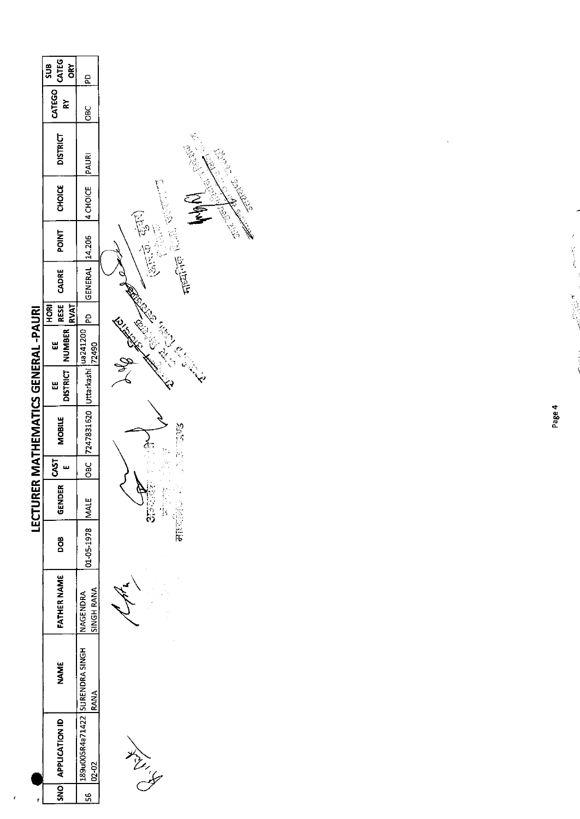|                                     | CATEG<br>₹<br>6                    | <u>a</u>                                |                                              |
|-------------------------------------|------------------------------------|-----------------------------------------|----------------------------------------------|
|                                     | <b>ROSE COLLECT</b><br>š           | ទ<br>ទី                                 |                                              |
|                                     | <b>DISTRICT</b>                    | PAURI                                   | <b>1999年1月</b>                               |
|                                     | <b>CHOICE</b>                      | <b>4 CHOICE</b>                         |                                              |
|                                     | <b>POINT</b>                       |                                         | $(2\pi,\tilde{\Phi},\tilde{\Phi}^{\dagger})$ |
|                                     | CADRE                              | GENERAL 14.206                          | 人气之医胃                                        |
|                                     | RESE<br><b>RVAT</b><br><b>HORI</b> | <u>ፎ</u>                                |                                              |
|                                     | NUMBER  <br>Ш                      |                                         | REAR ROAD<br><b>Controller BALL</b>          |
|                                     | <b>DISTRICT</b><br>ш               |                                         |                                              |
| LECTURER MATHEMATICS GENERAL -PAURI | <b>MOBILE</b>                      | 10BC 7247831620 Uttarkashi 10241200     | <b>SOLUTE</b>                                |
|                                     | 5kST                               |                                         |                                              |
|                                     | <b>GENDER</b>                      |                                         | にじゅう<br>しょうい                                 |
|                                     | BO <sub>B</sub>                    | 01-05-1978 MALE                         |                                              |
|                                     | <b>FATHER NAME</b>                 | SINGH RANA<br>NAGENDRA                  |                                              |
|                                     | MANE                               | RANA                                    |                                              |
|                                     | <b>APPLICATION ID</b>              | 189u00SR4a71422 SURENDRA SINGH<br>02-02 | ヘンパー                                         |
|                                     | SN <sub>2</sub>                    | S,                                      |                                              |

 $\epsilon$ 

**Region** 

A REAL PROPERTY

i<br>N

 $\label{eq:2.1} \mathcal{L}_{\mathcal{A}} = \sum_{\mathcal{A} \in \mathcal{A}} \mathcal{L}_{\mathcal{A}} \mathcal{L}_{\mathcal{A}} \mathcal{L}_{\mathcal{A}} \mathcal{L}_{\mathcal{A}} \mathcal{L}_{\mathcal{A}} \mathcal{L}_{\mathcal{A}}$ 

 $\ddot{\phantom{0}}$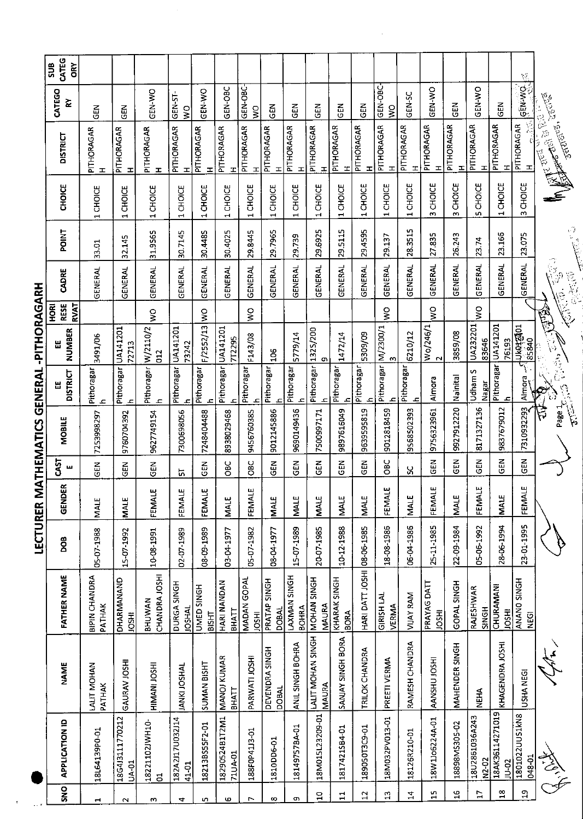| SNO            | <b>APPLICATION ID</b>            | <b>NAME</b>                    | <b>FATHER NAME</b>                 | <b>BOO</b> | ۴<br><b>GEND</b> | 5T<br>5<br>ш  | <b>MOBILE</b> | <b>DISTRICT</b><br>삞                | NUMBER<br>یں<br>انتا                | <b>RESE</b><br><b>RVAT</b><br>HORI | CADRE                  | <b>POINT</b>   | <b>CHOICE</b>                             | <b>DISTRICT</b>                                             | CATEGO<br>겉    | CATEG<br>Ğ<br><b>SUB</b> |
|----------------|----------------------------------|--------------------------------|------------------------------------|------------|------------------|---------------|---------------|-------------------------------------|-------------------------------------|------------------------------------|------------------------|----------------|-------------------------------------------|-------------------------------------------------------------|----------------|--------------------------|
|                | 18L64139P0-01                    | LALIT MOHAN<br>PATHAK          | <b>BIPIN CHANDRA</b><br>PATHAK     | 05-07 1988 | MALE             | N35           | 7253998297    | Pithoragar<br>$\mathbf{C}$          | 3491/06                             |                                    | GENERAL                | 33.01          | CHOICE<br>1                               | PITHORAGAR<br>工                                             | 즶              |                          |
|                | 18G4J3111770212<br><b>UA-01</b>  | GAURAV JOSHI                   | DHARMANAND<br><b>IOSHI</b>         | 15-07-1992 | <b>MALE</b>      | <b>GEN</b>    | 9760704392    | Pithoragar                          | UA141201<br>72713                   |                                    | GENERAL                | 32.145         | <b>CHOICE</b><br>4                        | PITHORAGAR<br>ᆂ                                             | មិ<br>ច        |                          |
| w              | 18221102JWH10-<br>$\overline{5}$ | HIMANI JOSHI                   | CHANDRA JOSHI<br><b>BHUWAN</b>     | 10-08-1991 | بى<br>FEMAL      | ξR            | 9627749154    | Pithoragar W/2110/2<br>$\mathbf{r}$ | $\overline{a}$                      | š                                  | GENERAL                | 31.9565        | CHOICE<br>$\overline{\phantom{0}}$        | PITHORAGAR<br>H                                             | <b>OK-Y-XO</b> |                          |
| 4              | 182A2J17U032J14<br>41-01         | JANKI JOSHAL                   | DURGA SINGH<br><b>JAH2OL</b>       | 02-07-1989 | ш<br>FEMAL       | եր<br>Մ       | 7300698056    | Pithoragar<br>Æ                     | UA141201<br>73242                   |                                    | <b>GENERAL</b>         | 30.7145        | CHOICE<br>1                               | PITHORAGAR<br>工                                             | GEN-ST-<br>S   |                          |
| ιn.            | 18213BS55F2-01                   | <b>SUMAN BISHT</b>             | UMED SINGH<br><b>BISHT</b>         | 08-09-1989 | ω<br>FEMAL       | この<br>この      | 7248404488    | Pithoragar                          | F/2552/13                           | $\frac{8}{2}$                      | GENERAL                | 30.4485        | 1 CHOIE                                   | PITHORAGAR<br>ェ                                             | <b>ON-N3D</b>  |                          |
| Ю              | 18290524B1T2M1<br>71UA-01        | <b>MANOJ KUMAR</b><br>ВНАТТ    | HARI NANDAN<br><b>BHATT</b>        | 03-04-1977 | <b>MALE</b>      | ĞС            | 8938029468    | Pithoragar                          | UA141201<br>77295                   |                                    | GENERAL                | 30.4025        | <b>CHOICE</b><br>$\overline{\phantom{0}}$ | PITHORAGAR<br>ᆂ                                             | GEN-OBC        |                          |
|                | 188F0P41J3-01                    | PARWATI JOSHI                  | MADAN GOPAL<br><b>JOSHI</b>        | 05-07-1982 | ш<br>FEMAL       | ЭЮ            | 9456760385    | Pithoragar<br>$\mathbf{r}$          | F143/08                             | S                                  | <b>GENERAL</b>         | 29.8445        | CHOICE<br>$\overline{ }$                  | PITHORAGAR<br>H                                             | GEN-OBC-<br>ş  |                          |
| $\infty$       | 1810DD6-01                       | DEVENDRA SINGH<br><b>DOBAL</b> | PRATAP SINGH<br><b>DOBAL</b>       | 08-04 1977 | MALE             | $\tilde{a}$   | 9012145886    | Pithoragar<br>$\mathbf{\Omega}$     | 50 <sub>4</sub>                     |                                    | GENERAL                | 29.7965        | 1 CHOICE                                  | PITHORAGAR<br>H                                             | <b>GEN</b>     |                          |
| c              | 18149757BA-01                    | ANIL SINGH BOHRA               | LAXMAN SINGH<br><b>BOHRA</b>       | 15-07-1989 | MALE             | N<br>この       | 9690149436    | Pithoragar<br>$\mathbf{r}$          | 5779/14                             |                                    | <b>GENERAL</b>         | 29.739         | 1 CHOICE                                  | PITHORAGAR<br>$\mathbf{I}$                                  | 乙<br>50        |                          |
| $\overline{a}$ | 18M015L23209-01                  | LALIT MOHAN SINGH<br>MAURA     | MOHAN SINGH<br><b>MAURA</b>        | 20-07-1985 | MALE             | $\tilde{e}$   | 7500997171    | Pithoragar<br>ᅀ                     | 1325/200<br>$\sigma$                |                                    | <b>GENERAL</b>         | 29.6925        | 1 CHOICE                                  | PITHORAGAR<br>ᆂ                                             | $\frac{2}{5}$  |                          |
| $\Xi$          | 1817421SB4-01                    | SANJAY SINGH BORA              | <b>KHARAK SINGH</b><br><b>BORA</b> | 10-12-1988 | <b>NALE</b>      | <b>SED</b>    | 9897616049    | Pithoragar                          | 1472/14                             |                                    | GENERAL                | 29.5115        | 1 CHOICE                                  | PITHORAGAR<br>$\mathbf{r}$                                  | て<br>この        |                          |
| $\mathbf{a}$   | 189050T3C9-01                    | TRILOK CHANDRA                 | HARI DATT JOSHI                    | 08-06-1985 | <b>MALE</b>      | $\frac{2}{9}$ | 9639595819    | Pithoragar<br>ᄾ                     | 5309/09                             |                                    | <b>GENERAL</b>         | 29.4595        | 1 CHOICE                                  | PITHORAGAR<br>H                                             | in<br>19       |                          |
| $\mathfrak{u}$ | 18M032PV013-01                   | PREETI VERMA                   | <b>GIRISH LAL</b><br>VERMA         | 18-08-1985 | بى<br>FEMAL      | ÖВ            | 9012818459    | Pithoragar                          | M/2300/1                            | ş                                  | GENERAL                | 29.137         | 1 CHOICE                                  | PITHORAGAR<br>$\mathbf{I}$                                  | GEN-OBC-<br>Ş  |                          |
| $\overline{4}$ | 18126R210-01                     | RAMESH CHANDRA                 | <b>VIJAY RAM</b>                   | 06-04-1986 | <b>MALE</b>      | ပ္ပ           | 9568502393    | Pithoragar                          | 6210/12                             |                                    | GENERAL                | 28.3515        | CHOICE<br>$\blacksquare$                  | PITHORAGAR<br>$\mathbf{r}$                                  | GEN-SC         |                          |
| $\frac{5}{11}$ | 18W1Jo6224A-01                   | AANSHU JOSHI                   | PRAYAG DATT<br><b>HSOL</b>         | 25-11-1985 | FEMALE           | $\tilde{a}$   | 9756323961    | Almora                              | Wo/246/1<br>$\sim$                  | ş                                  | <b>GENERAL</b>         | 27.835         | <b>CHOICE</b><br>m                        | PITHORAGAR<br>H                                             | <b>ON-Y-DO</b> |                          |
| $\overline{a}$ | 18898MS305-02                    | MAHENDER SINGH                 | GOPAL SINGH                        | 22-09-1984 | <b>MALE</b>      | <b>SEN</b>    | 9927912220    | Nainital                            | 3859/08                             |                                    | <b>GENERAL</b>         | 26.243         | CHOICE<br>$\omega$                        | PITHORAGAR<br>ᆂ                                             | GEN            |                          |
| $\overline{L}$ | 18U2861036A243<br>N2 02          | <b>NEHA</b>                    | <b>RAJESHWAR</b><br>SINGH          | 05-06-1992 | FEMALE           | មី<br>ច       | 8171327136    | Udham S<br>Nagar                    | UA232201<br>83646                   | ş                                  | <b>GENERAL</b>         | 23.74          | <b>CHOICE</b><br>ú,                       | PITHORAGAR<br>H                                             | <b>OK-N3D</b>  |                          |
| $\frac{8}{10}$ | 18AK36114271019<br><b>JU-02</b>  | KHAGENDRA JOSHI                | CHURAMANI<br><b>IRSOL</b>          | 28-06-1994 | MALE             | <b>GEN</b>    | 9837679012    | Pithoragar<br>ᆇ                     | UA141201<br>76193                   |                                    | <b>GENERAL</b>         | 23.166         | <b>CHOICE</b><br>$\overline{\phantom{0}}$ | PITHORAGAR<br>T                                             | <b>GEN</b>     |                          |
| 5              | 1801022UU51kN8<br>048-01         | USHA NEGI                      | ANANO SINGH<br><b>NEGI</b>         | 23-01-1995 | щ<br>FEMAI       | 집<br>영        | 7310932293    | Almora                              | <b>Luketeau</b><br>85840            |                                    | <b>GENERAL</b>         | 23.075         | CHOICE<br>m                               | 医骨<br>PITHORAGAR<br>H                                       | <b>SEM-MO.</b> | $\mathcal{O}$            |
|                |                                  |                                |                                    |            |                  |               | Page 1<br>令   |                                     | <b>REAT</b><br>$\frac{1}{\sqrt{2}}$ | ्<br>हि                            | $\sqrt{3}$<br>色光<br>ç. | ان مارچ<br>اپن |                                           | <b>TELUIS, 1601-69</b><br><b>Real Property</b><br>No Partir |                |                          |

 $\hat{\boldsymbol{\gamma}}$ 

LECTURER MATHEMATICS GENERAL-PITHORAGARH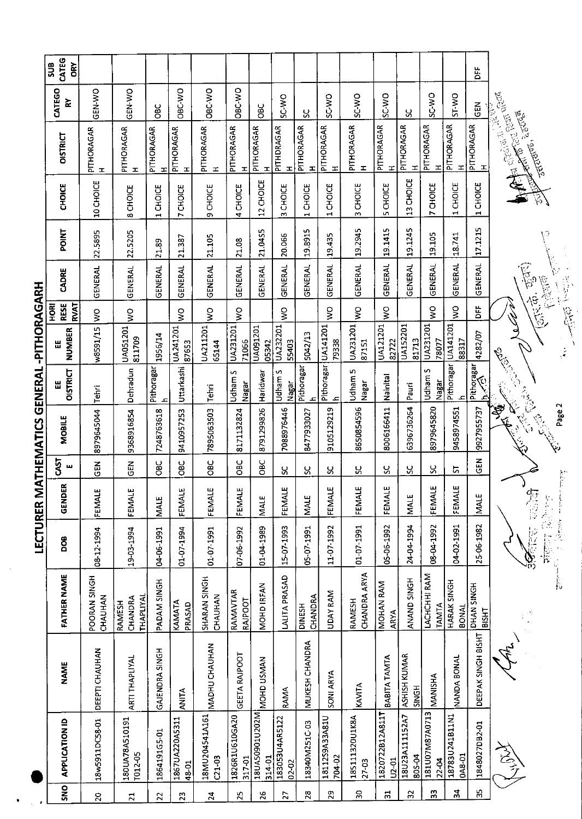|                   | CATEG<br><b>SUB</b><br>ČRY |                            |                                |                 |                            |                            |                          |                            |                         |                          |                              |                            |                              |                                     |                              |                             | DΕF                    |                                                                     |                                                                                                                                                                                                                                                                                                                                                             |
|-------------------|----------------------------|----------------------------|--------------------------------|-----------------|----------------------------|----------------------------|--------------------------|----------------------------|-------------------------|--------------------------|------------------------------|----------------------------|------------------------------|-------------------------------------|------------------------------|-----------------------------|------------------------|---------------------------------------------------------------------|-------------------------------------------------------------------------------------------------------------------------------------------------------------------------------------------------------------------------------------------------------------------------------------------------------------------------------------------------------------|
|                   | CATEGO<br>≿                | <b>GEN-WO</b>              | GEN-VO                         | ă               | OBC-WO                     | OBC-WO                     | OBC-WO                   | <b>OBC</b>                 | <b>OACS</b>             | ပ္တ                      | <b>ON-JS</b>                 | <b>OW-3S</b>               | SC-WO                        | χ                                   | SC-WO                        | ST-WO                       | <b>GEN</b>             |                                                                     |                                                                                                                                                                                                                                                                                                                                                             |
|                   | <b>OISTRICT</b>            | PITHORAGAR<br>$\mathbf{I}$ | PITHORAGAR<br>$\mathbf{I}$     | PITHORAGAR<br>H | PITHORAGAR<br>$\mathbf{I}$ | PITHORAGAR<br>H            | PITHORAGAR<br>I          | PITHORAGAR<br>$\mathbf{I}$ | PITHDRAGAR<br>H         | PITHORAGAR<br>I          | PITHORAGAR<br>H              | PITHORAGAR<br>$\mathbf{r}$ | PITHORAGAR<br>$\mathbf{r}$   | PITHORAGAR<br>H                     | PITHORAGAR<br>H              | PITHORAGAR<br>고             | <b>PITHORAGAR</b><br>H | <b>Anter</b> Coll Ban Gloria<br>An Cream (Robert<br>ARTENES, 220765 |                                                                                                                                                                                                                                                                                                                                                             |
|                   | CHOICE                     | 10 CHOICE                  | 8 CHOICE                       | 1 CHOICE        | CHOICE<br>N                | 9 CHOICE                   | 4 CHOICE                 | 12 CHOICE                  | CHOICE<br>w             | CHOICE<br>$\blacksquare$ | 1 CHOICE                     | CHOICE<br>$\omega$         | CHOICE<br>m                  | 13 CHOICE                           | CHOICE<br>r.                 | CHOICE<br>$\mathbf{r}$      | 1 CHOICE               | Ę)                                                                  |                                                                                                                                                                                                                                                                                                                                                             |
|                   | <b>POINT</b>               | 22.5895                    | 22.5205                        | 21.89           | 21.387                     | 21.105                     | 21.08                    | 21.0455                    | 20.066                  | 19.8915                  | 19.435                       | 19.2945                    | 19.1415                      | 19.1245                             | 19.105                       | 18.741                      | 17.1215                |                                                                     |                                                                                                                                                                                                                                                                                                                                                             |
|                   | CADRE                      | GENERAL                    | <b>GENERAL</b>                 | GENERAL         | <b>GENERAL</b>             | <b>GENERAL</b>             | GENERAL                  | GENERAL                    | <b>GENERAL</b>          | <b>GENERAL</b>           | <b>GENERAL</b>               | GENERAL                    | <b>GENERAL</b>               | <b>GENERAL</b>                      | <b>GENERAL</b>               | <b>GENERAL</b>              | <b>GENERAL</b>         | $\widetilde{\mathbb{F}}$<br>FREE                                    | 以外之                                                                                                                                                                                                                                                                                                                                                         |
|                   | RVAT<br>RESE<br><b>ARI</b> | $\frac{8}{3}$              | Ş                              |                 | Ş                          | $\mathsf{S}^{\mathsf{O}}$  | ş                        |                            | $\frac{1}{2}$           |                          | ş                            | Ş                          | ş                            |                                     | ş                            | ş                           | Ë                      | <b>Control</b>                                                      |                                                                                                                                                                                                                                                                                                                                                             |
|                   | <b>NUMBER</b><br>出         | w8591/15                   | UA051201<br>811709             | 1956/14         | UA241201<br>8/653          | UA211201<br>65144          | UA231201<br>71066        | UA091201<br>05342          | UA232201<br>55403       | 5042/13                  | UA141201<br>79338            | UA231201<br>87151          | UA121201<br>82722            | UA152201<br>81713                   | UA231201<br>78077            | UA141201<br>88317           | 4282/07                |                                                                     | <b>Children</b>                                                                                                                                                                                                                                                                                                                                             |
|                   | <b>DISTRICT</b><br>Ш       | Tehri                      | Dehradun                       | Pithoragar<br>ᅀ | Uttarkashi                 | Tehri                      | Udham S<br>Nagar         | Haridwar                   | Udham S<br>Nagar        | Pithoragar<br>یک         | Pithoragar<br>$\overline{a}$ | Udham 5<br>Nagar           | Nainital                     | Pauri                               | Udham S<br>Nagar             | <b>Pithoragar</b>           | Pithoragar<br>h        |                                                                     |                                                                                                                                                                                                                                                                                                                                                             |
|                   | <b>MOBILE</b>              | 8979645044                 | 9368916854                     | 7248763618      | 9410957253                 | 7895063503                 | 8171132824               | 8791299826                 | 7088976446              | 8477933027               | 9105129219                   | 8650854596                 | 8006166411                   | 6396736264                          | 8979645820                   | 9458974551                  | 9927955737             | Cally Cally<br><b>Carried Band</b><br><b>BASE</b>                   | Page 2                                                                                                                                                                                                                                                                                                                                                      |
|                   | <b>CAST</b><br>щ           | $\overline{5}$             | 즶                              | 96              | 9g                         | ម<br>ខ                     | OBC                      | OBC                        | X                       | ပ္တ                      | ပ္တ                          | ပ္တ                        | ပ္တ                          | ပ္တ                                 | ყ                            | 5                           | GEN                    |                                                                     |                                                                                                                                                                                                                                                                                                                                                             |
|                   | œ,<br>GENDE                | FEMALE                     | FEMALE                         | <b>MALE</b>     | <b>FEMALE</b>              | FEMALE                     | FEMALE                   | MALE                       | FEMALE                  | <b>MALE</b>              | FEMALE                       | FEMALE                     | FEMALE                       | <b>MALE</b>                         | FEMALE                       | FEMALE                      | <b>NIALE</b>           | 短海                                                                  | 整                                                                                                                                                                                                                                                                                                                                                           |
| יי יינוארו יינואר | DOB                        | 08-12-1994                 | 19-03-1994                     | 04-06-1991      | 01-07-1994                 | 01-07 1991                 | 07-06-1992               | 01-04-1989                 | 15-07-1993              | 05-07 1991               | 11-07-1992                   | 01-07-1991                 | 05-06-1992                   | 24-04-1994                          | 08-04-1992                   | 04-02-1991                  | 25-06-1982             | 人名布尔 计数据<br>$\widetilde{\mathcal{S}}$                               | $\label{eq:1} \sum_{i=1}^n \sum_{j=1}^n \sum_{j=1}^n \frac{1}{j} \sum_{j=1}^n \frac{1}{j} \sum_{j=1}^n \frac{1}{j} \sum_{j=1}^n \frac{1}{j} \sum_{j=1}^n \frac{1}{j} \sum_{j=1}^n \frac{1}{j} \sum_{j=1}^n \frac{1}{j} \sum_{j=1}^n \frac{1}{j} \sum_{j=1}^n \frac{1}{j} \sum_{j=1}^n \frac{1}{j} \sum_{j=1}^n \frac{1}{j} \sum_{j=1}^n \frac{1}{j} \sum_{$ |
|                   | FATHER NAME                | POORAN SINGH<br>CHAUHAN    | THAPLIYAL<br>CHANDRA<br>RAMESH | PADAM SINGH     | KAMATA<br>PRASAD           | SHARAN SINGH<br>CHAUHAN    | RAMAVTAR<br>Raipoot      | <b>MOHD IRFAN</b>          | LALITA PRASAD           | CHANDRA<br><b>DINESH</b> | UDAY RAM                     | CHANDRA ARYA<br>RAMESH     | MOHAN RAM<br><b>ARYA</b>     | ANAND SINGH                         | LACHCHHI RAM<br><b>TAMTA</b> | HARAK SINGH<br><b>BONAL</b> | DHAN SINGH<br>BISHT    |                                                                     |                                                                                                                                                                                                                                                                                                                                                             |
|                   | <b>NAME</b>                | DEEPTI CHAUHAN             | <b>ARTI THAPLIYAL</b>          | GAJENDRA SINGH  | <b>ANITA</b>               | MADHU CHAUHAN              | GEETA RAIPOOT            | MOHD USMAN                 | RAMA                    | MUKESH CHANDRA           | SONI ARYA                    | KAVITA                     | BABITA TAMTA                 | <b>ASHISH KUMAR</b><br><b>SINGH</b> | MANISHA                      | NANDA BONAL                 | DEEPAK SINGH BISHT     | Ju.<br>Ju                                                           |                                                                                                                                                                                                                                                                                                                                                             |
|                   | <b>APPLICATION ID</b>      | 18w5911DC58-01             | 180UA78A510191<br>T012-05      | 1864191G5-01    | 1867UA220A5311<br>48-01    | 18MU204541A161<br>$C21-03$ | 1826R1U610GA20<br>317-01 | 18UA50901U202M<br>314-01   | 183053U4AR5122<br>02-02 | 18340M251C-03            | 18112S9A33A81U<br>704-02     | 185111320U1K8A<br>27-03    | 1820722812A811T<br>$U2 - 01$ | 18U23A111152A7<br>805-04            | 181U07M87A0713<br>22-04      | 18783U241B11N1<br>0A8-01    | 1848027DB2-01          | からう                                                                 |                                                                                                                                                                                                                                                                                                                                                             |
|                   | SNO                        | $\mathbf{S}$               | $\overline{2}$                 | $\overline{2}$  | 23                         | 24                         | 25                       | 26                         | 27                      | 28                       | 29                           | $\mathfrak{D}$             | $\mathfrak{L}$               | $\mathfrak{L}$                      | $\frac{3}{2}$                | 24                          | 35                     |                                                                     |                                                                                                                                                                                                                                                                                                                                                             |

**IFCTURER MATHEMATICS GENERAL -PITHORAGARH**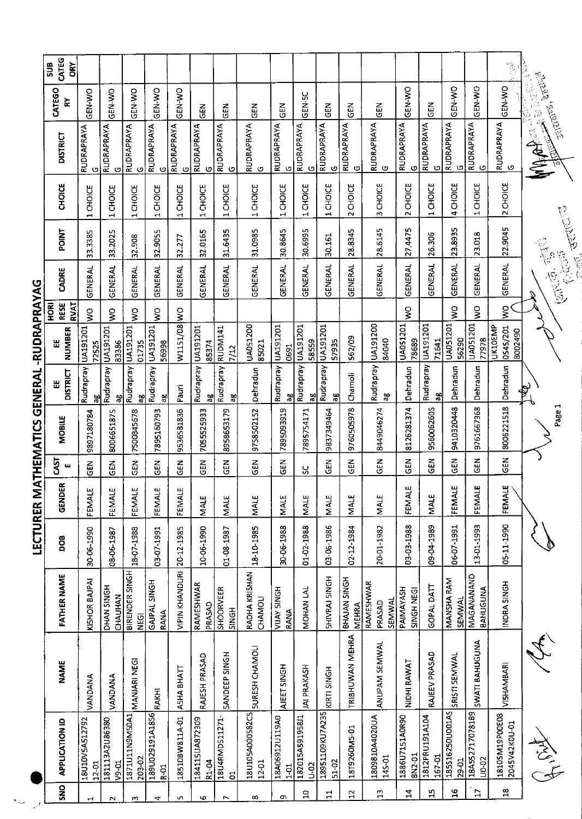| $rac{1}{2}$    | <b>APPLICATION ID</b>           | <b>NAME</b>          | <b>FATHER NAME</b>            | DOB        | GENDER           | <b>GAST</b><br>ш | MOBILE     | <b>DISTRICT</b><br>Ш | NUMBER<br>Ш                           | RESE<br>RVAT<br><b>BOH</b> | CADRE                                      | POINT                                                                    | <b>CHOICE</b>                             | <b>DISTRICT</b>        | <b>CATEGO</b><br>≿                 | CATEG<br><b>SUB</b><br>òξ                                   |
|----------------|---------------------------------|----------------------|-------------------------------|------------|------------------|------------------|------------|----------------------|---------------------------------------|----------------------------|--------------------------------------------|--------------------------------------------------------------------------|-------------------------------------------|------------------------|------------------------------------|-------------------------------------------------------------|
|                | 18U10V5A512792<br>12-01         | VANDANA              | KISHOR BAJPAI                 | 30-06-1990 | ш<br>FEMALI      | 읂                | 9897180784 | Rudrapray<br>aβ      | UA191201<br>72525                     | $\frac{1}{2}$              | <b>GENERAL</b>                             | 3.3385<br>$\sim$                                                         | <b>CHOICE</b><br>$\blacksquare$           | RUDRAPRAYA<br>G        | GEN-WO                             |                                                             |
|                | 181113A2U86380<br>$v_9$ -01     | VANDANA              | DHAN SINGH<br>CHAUHAN         | 08-06-1987 | FEMALE           | この<br>この         | 8006651875 | Rudrapray<br>ಸಿ      | UA191201<br>83386                     | ş                          | GENERAL                                    | 33.2025                                                                  | <b>CHOICE</b><br>$\blacksquare$           | RUDRAPRAYA<br>O        | GEN-WO                             |                                                             |
|                | 1871U11N9M50A1<br>203-02        | MANJARI NEGI         | BIRENDER SINGH<br><b>SEGI</b> | 18-07-1988 | ш<br>FEMALI      | るり               | 7500845678 | Rudrapray<br>æ       | UA191201<br>01735                     | $\frac{1}{2}$              | <b>GENERAL</b>                             | 32.908                                                                   | <b>CHOICE</b><br>$\blacksquare$           | <b>RUDRAPRAYA</b><br>ပ | ON-N-DO                            |                                                             |
|                | 189U029191A1856<br><b>R-01</b>  | RAKHI                | GAJPAL SINGH<br>RANA          | 03-07-1991 | FEMALE           | $rac{2}{5}$      | 7895160793 | Rudrapray<br>āβ      | UA191201<br>56998                     | ş                          | GENERAL                                    | 32.9055                                                                  | CHOICE<br>$\blacksquare$                  | <b>RUDRAPRAYA</b><br>O | GEN-WO                             |                                                             |
|                | 18510BW811A-01                  | ASHA BHATT           | <b>VIPIN KHANDURI</b>         | 20-12-1985 | ш<br>FEMALI      | MBG              | 9536581836 | Pauri                | W1151/08 WO                           |                            | <b>GENERAL</b>                             | 32.277                                                                   | CHOICE<br>$\blacksquare$                  | <b>RUDRAPRAYA</b><br>O | GEN-WO                             |                                                             |
|                | 184115UA872309<br>R1-04         | RAJESH PRASAD        | RAMESHWAR<br>PRASAD           | 10-06-1990 | MALE             | $\frac{2}{5}$    | 7055525933 | Rudrapray<br>ಇ       | UA191201<br>85374                     |                            | GENERAL                                    | 32.0165                                                                  | CHOICE<br>$\mathbf{\mathbf{H}}$           | <b>RUDRAPRAYA</b><br>G | $rac{2}{3}$                        |                                                             |
|                | 18U4RMD511271-<br>ã             | <b>SANDEEP SINGH</b> | SHOORVEER<br><b>SINGH</b>     | 01-08-1987 | MALE             | ក្ខុ<br>ស        | 8958653179 | Rudrapray<br>æ       | RUDM141<br>1/12                       |                            | GENERAL                                    | 31.6435                                                                  | <b>CHOICE</b><br>$\blacksquare$           | <b>RUDRAPRAYA</b><br>ပ | <b>GEN</b>                         |                                                             |
|                | 18U105A000582C5<br>12-01        | SURESH CHAMOLI       | RADHA KRISHAN<br>CHAMOLI      | 18-10-1985 | MALE             | $rac{2}{5}$      | 9758502152 | Dehradun             | UA051200<br>85021                     |                            | <b>GENERAL</b>                             | 31.0985                                                                  | <b>CHOICE</b><br>$\blacksquare$           | RUDRAPRAYA             | 집                                  |                                                             |
|                | 18A06912U119A0<br>$\frac{5}{2}$ | AJEET SINGH          | VIJAY SINGH<br>RANA           | 30-06-1988 | <b>MALE</b>      | GEN              | 7895093919 | Rudrapray<br>æ       | UA191201<br>0691                      |                            | GENERAL                                    | 30.8645                                                                  | CHOICE<br>$\mathbf{\overline{d}}$         | <b>RUDRAPRAYA</b><br>O | $\frac{2}{5}$                      |                                                             |
| $\overline{a}$ | 182015A591958J1<br><b>D-02</b>  | JAI PRAKASH          | MOHAN LAL                     | 01-02-1988 | MAI <sub>E</sub> | ပ္တ              | 7895754171 | Rudrapray<br>ãθ      | UA191201<br>58559                     |                            | <b>GENERAL</b>                             | 30.6995                                                                  | <b>CHOICE</b><br>$\overline{\phantom{0}}$ | RUDRAPRAYA<br>O        | GEN-5C                             |                                                             |
| $\mathbf{I}$   | 18951109KU7A235<br>51-02        | KIRTI SINGH          | <b>HORAL SINGH</b>            | 03-06-1986 | MALE             | 군<br>영           | 9837349464 | Rudrapray<br>읂       | <b>UA191201</b><br>57935              |                            | <b>GENERAL</b>                             | 30.161                                                                   | CHOICE<br>$\blacksquare$                  | <b>RUDRAPRAYA</b><br>ပ | GEN                                |                                                             |
| $\overline{a}$ | 18T9260M5-01                    | TRIBHUWAN MEHRA      | BHAJAN SINGH<br><b>MEHRA</b>  | 02-12-1984 | MALE             | 급                | 9760505978 | Chamoli              | 562/09                                |                            | <b>GENERAL</b>                             | 28.8345                                                                  | CHOICE<br>$\sim$                          | <b>RUDRAPRAYA</b><br>ပ | <b>GEN</b>                         |                                                             |
| $\frac{3}{2}$  | 1809810A4020UA<br>145-01        | ANUPAM SEMWAL        | RAMESHWAR<br>SEMWAL<br>PRASAD | 20-01-1982 | MALE             | $\tilde{c}$      | 8449046274 | Rudrapray<br>ನಿ      | UA191200<br>84040                     |                            | GENERAL                                    | 28.6145                                                                  | CHOICE<br>m                               | RUDRAPRAYA             | <b>NB</b>                          |                                                             |
| 4              | 1886U7151A0R90<br>8N2-01        | NIDHI RAWAT          | PAIMAYASH<br>SINGH NEGI       | 03-03-1988 | ш<br>FEMALI      | <b>GEN</b>       | 8126281374 | Dehradun             | UA051201<br>78689                     | $\frac{1}{2}$              | GENERAL                                    | 27.4475                                                                  | CHOICE<br>$\sim$                          | <b>RUDRAPRAYA</b><br>ပ | GEN-WO                             |                                                             |
| ង្ក            | 1812PRU191A104<br>167-01        | RAJEEV PRASAD        | GOPAL DATT                    | 09-04-1989 | <b>MALE</b>      | <b>GEN</b>       | 9560062605 | Rudrapray<br>욶       | UA191201<br>71641                     |                            | GENERAL                                    | 26.306                                                                   | CHOICE<br>$\mathbf{\mathbf{t}}$           | RUDRAPRAYA<br>O        | こと<br>この                           |                                                             |
| $\frac{6}{1}$  | 185S16250U001AS<br>29-01        | SRISTI SEMWAL        | MANSHA RAM<br><b>SEMWAL</b>   | 06-07-1991 | ш<br>FEMAL       | EN<br>5          | 9410320448 | Dehradun             | UA051201<br>56290                     | ş                          | <b>GENERAL</b>                             | 23.8935                                                                  | 4 CHOICE                                  | RUDRAPRAYA<br>ပ        | <b>ON-N-SO</b>                     |                                                             |
| $\overline{L}$ | 18A552717078189<br>U0-02        | SWATI BAHUGUNA       | MAGANANAND<br>BAHUGUNA        | 13-01-1993 | ш<br>FEMAL       | <b>GEN</b>       | 9761667368 | Dehradun             | UA051201<br>77978                     | $\frac{1}{3}$              | GENERAL                                    | 23.018                                                                   | CHOICE<br>$\mathbf{\mathbf{\mathbf{H}}}$  | RUDRAPRAYA<br>ပ        | GEN-WO                             |                                                             |
| $\mathbf{S}$   | 18105M19P00E08<br>2045V42K0U-01 | VISHAMBARI           | INDRA SINGH                   | 05-11-1990 | щ<br>FEMAL       | <b>GEN</b>       | 8006221518 | Dehradun             | <b>UK10EMP</b><br>0545/201<br>8002490 | ş                          | <b>GENERAL</b>                             | 22.9045                                                                  | 2 CHOICE                                  | RUDRAPRAYA<br>ပ        | GEN-VO                             | $\frac{\partial}{\partial t} = \frac{\partial}{\partial t}$ |
|                | I Maria                         | $\hat{\mathcal{L}}$  |                               |            |                  |                  | Page 1     | ♦                    |                                       |                            | <b>BASE</b><br>$rac{1}{2}$<br><b>16.65</b> | <b>Record</b><br>$\begin{pmatrix} 1 & 1 \\ 1 & 1 \\ 0 & 1 \end{pmatrix}$ |                                           | R                      | <b>Section</b><br><b>JENTURES,</b> |                                                             |

LECTURER MATHEMATICS GENERAL -RUDRAPRAYAG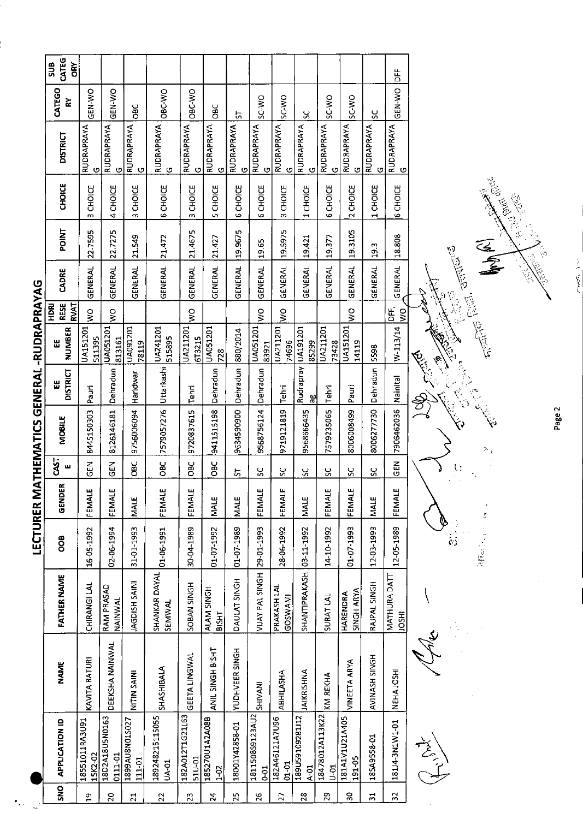| ֖ׅׅׅׅ֧֧֧֚֚֚֚֚֚֚֚֚֚֚֚֚֚֚֚֚֚֚֚֚֚֬֝֕֝֬֝֬֓֡֬֝֓֞֝֓֬֝֓֞֬֝֓֞֓֝֬֓֞֬֝֓֞֬֝֓֞֬֝֓֞֬֝֓֞֬֝֓֞֬֝֬֝֬֝֝֬ |
|----------------------------------------------------------------------------------------|
|                                                                                        |
|                                                                                        |
|                                                                                        |
|                                                                                        |
|                                                                                        |
|                                                                                        |
|                                                                                        |
|                                                                                        |
| l                                                                                      |
|                                                                                        |
|                                                                                        |
|                                                                                        |
|                                                                                        |
|                                                                                        |
|                                                                                        |
|                                                                                        |
|                                                                                        |
|                                                                                        |
| I                                                                                      |
| י                                                                                      |
|                                                                                        |
|                                                                                        |
|                                                                                        |
|                                                                                        |
|                                                                                        |
|                                                                                        |
|                                                                                        |
|                                                                                        |
|                                                                                        |
|                                                                                        |
|                                                                                        |
|                                                                                        |
|                                                                                        |
|                                                                                        |
|                                                                                        |
|                                                                                        |
|                                                                                        |
|                                                                                        |
|                                                                                        |
|                                                                                        |
|                                                                                        |
|                                                                                        |
|                                                                                        |
|                                                                                        |
|                                                                                        |
|                                                                                        |

|                                 | CATEG<br><b>SUB</b><br>ORY                |                           |                           |                              |                          |                           |                            |                        |                             |                             |                             |                             |                               |                                 | Ξ                           |  |
|---------------------------------|-------------------------------------------|---------------------------|---------------------------|------------------------------|--------------------------|---------------------------|----------------------------|------------------------|-----------------------------|-----------------------------|-----------------------------|-----------------------------|-------------------------------|---------------------------------|-----------------------------|--|
|                                 | CATEGO<br>≿                               | GEN-WO                    | ON-Y-NO                   | <b>DBC</b>                   | OBC WO                   | OBC-WO                    | 8C                         | 5                      | SC-WO                       | SC <sub>WO</sub>            | ပ္တ                         | SC-WO                       | <b>SC-WO</b>                  | S                               | GEN-WO                      |  |
|                                 | <b>DISTRICT</b>                           | RUDRAPRAYA<br>O           | RUDRAPRAYA<br>$\circ$     | RUDRAPRAYA<br>O              | RUDRAPRAYA<br>G          | RUDRAPRAYA<br>O           | RUDRAPRAYA<br>$\circ$      | <b>RUDRAPRAYA</b><br>O | RUDRAPRAYA<br>O             | <b>RUDRAPRAYA</b><br>O      | RUDRAPRAYA<br>O             | RUDRAPRAYA<br>$\circ$       | <b>RUDRAPRAYA</b><br>G        | RUDRAPRAYA<br>O                 | RUDRAPRAYA<br>O             |  |
|                                 | <b>CHOICE</b>                             | <b>CHOICE</b><br>m        | 4 CHOICE                  | <b>CHOICE</b><br>$\tilde{ }$ | <b>GCHOICE</b>           | 3 CHOICE                  | CHOICE<br>úŋ,              | 6 CHOICE               | CHOICE<br>ю                 | CHOICE<br>m                 | 1 CHOICE                    | 6 CHOICE                    | 2 CHOICE                      | <b>CHOICE</b><br>$\overline{ }$ | 6 CHOICE                    |  |
|                                 | POINT                                     | 22.7595                   | 22.7275                   | 21.549                       | 21.472                   | 21.4675                   | 21.427                     | 19.9675                | 19.65                       | 19.5975                     | 19,421                      | 19.377                      | 19.3105                       | 19.3                            | 18.808                      |  |
|                                 | CADRE                                     | GENERAL                   | GENERAL                   | <b>GENERAL</b>               | GENERAL                  | <b>GENERAL</b>            | GENERAL                    | GENERAL                | GENERAL                     | GENERAL                     | GENERAL                     | GENERAL                     | GENERAL                       | GENERAL                         | GENERAL                     |  |
|                                 | <b>RESE</b><br><b>RVAT</b><br><b>ROKI</b> | ş                         | $\frac{1}{2}$             |                              |                          | $\frac{1}{2}$             |                            |                        | $\frac{1}{2}$               | $\frac{1}{2}$               |                             |                             | $\frac{1}{2}$                 |                                 | DEF,<br>$\geq$              |  |
|                                 | NUMBER<br>出                               | <b>UA151201</b><br>511395 | UA051201<br>813161        | UA091201<br>78119            | UA241201<br>515895       | UA211201<br>6T3215        | JA051201<br>728            | 880/2014               | UA051201<br>83921           | UA211201<br>74696           | UA191201<br>85299           | UA211201<br>73428           | <b>UA151201</b><br>14119      | 5598                            | $W - 113/14$                |  |
|                                 | <b>DISTRICT</b><br>Ш                      | Pauri                     | Dehradun                  |                              |                          | Tehri                     | Dehradun                   | Dehradun               | Dehradun                    | Tehri                       | Rudrapray<br>멺              | Tehri                       | Pauri                         | Dehradun                        | Nainital                    |  |
| ATHEMATICS GENERAL -RUDRAPRAYAG | MOBILE                                    | 8445150303                | 8126146181                | 9756006094 Haridwar          | 7579057276 Uttarkashi    | 9720837615                | 9411515198                 | 9634590900             | 9568756124                  | 9719121819                  | 9568666435                  | 7579235065                  | 8006008499                    | 8006277730                      | 7906462036                  |  |
|                                 | CAST<br>ш                                 | <b>GEN</b>                | $\frac{2}{9}$             | OBC                          | <b>OBC</b>               | <b>BC</b>                 | op<br>O                    | ದ                      | SS                          | ႘                           | ပ္ပ                         | ပ္တ                         | ပ္တ                           | ပ္ပ                             | <b>GEN</b>                  |  |
|                                 | 岳<br><b>DISCRIPT</b>                      | FEMALE                    | FEMALE                    | MALE                         | FEMALE                   | FEMALE                    | MALE                       | MALE                   | FEMALE                      | <b>111</b><br>FEMALI        | <b>MALE</b>                 | FEMALE                      | FEMALE                        | <b>MALE</b>                     | FEMALI                      |  |
| <b>LECTURER M</b>               | 80O                                       | 16-05-1992                | 02-06-1994                | 31-01-1993                   | 01-06 1991               | 30-04-1989                | 01-071992                  | 01-07-1989             | 29-01-1993                  | 28-06 1992                  |                             | 14-10-1992                  | 01-07-1993                    | 12-03-1993                      | 12-05-1989                  |  |
|                                 | FATHER NAME                               | CHIRANGI LAL              | RAM PRASAD<br>NAINWAL     | <b>IAGDISH SAINI</b>         | SHANKAR DAYAL<br>SEMWAL  | SOBAN SINGH               | ALAM SINGH<br><b>BISHT</b> | DAULAT SINGH           | VIJAY PAL SINGH             | PRAKASH LAL<br>GOSWAMI      | SHANTIPRAKASH 03-11-1992    | <b>SURATIAL</b>             | <b>SINGH ARYA</b><br>HARENDRA | RAJPAL SINGH                    | MATHURA DATT<br><b>HSCI</b> |  |
|                                 | <b>NAME</b>                               | KAVITA RATURI             | DEEKSHA NAINWAL           | NITIN SAIN                   | SHASHIBALA               | GEETA LINGWAL             | ANIL SINGH BISHT           | YUDHVEER SINGH         | <b>SHIVANI</b>              | ABHILASHA                   | JAIKRISHNA                  | KM REKHA                    | <b>VINEETA ARYA</b>           | AVINASH SINGH                   | NEHA JOSHI                  |  |
|                                 | <b>APPLICATION ID</b>                     | 18551011RA3U91<br>15K2-02 | 18D2A18U5N0163<br>0111-01 | 1899AU8N01S027<br>111-01     | 189248215115055<br>UA-01 | 182A012T1G21L63<br>510-01 | 185270U1A2A08B<br>$1 - 02$ | 18001Y42858-01         | 181150859123AU2<br>$0 - 01$ | 182A46121A7U96<br>$01 - 01$ | 189U59109281112<br>$A - 01$ | 18478012A113K22<br>$U - 01$ | 181A1V1U21A405<br>191-05      | 185A9558-01                     | 18114-3N1W1-01              |  |
|                                 | <b>ONS</b>                                | ្នា                       | $\overline{2}$            | $\overline{21}$              | $\tilde{2}$              | $\overline{23}$           | 24                         | 25                     | $\frac{8}{2}$               | 27                          | 28                          | 29                          | æ                             | $\overline{31}$                 | 32                          |  |

 $\begin{picture}(120,110) \put(0,0){\line(1,0){155}} \put(15,0){\line(1,0){155}} \put(15,0){\line(1,0){155}} \put(15,0){\line(1,0){155}} \put(15,0){\line(1,0){155}} \put(15,0){\line(1,0){155}} \put(15,0){\line(1,0){155}} \put(15,0){\line(1,0){155}} \put(15,0){\line(1,0){155}} \put(15,0){\line(1,0){155}} \put(15,0){\line(1,0){155$ 

 $\overline{\mathbf{y}}$ 

 $\sum_{i=1}^{n}$ **REGISTER IN A** Ø 17

Compared **CONTROLLER** 有心 E.  $\frac{\partial}{\partial \theta}$ نها

C. GOLFI **BASE** 

Page 2

うしゃ てんし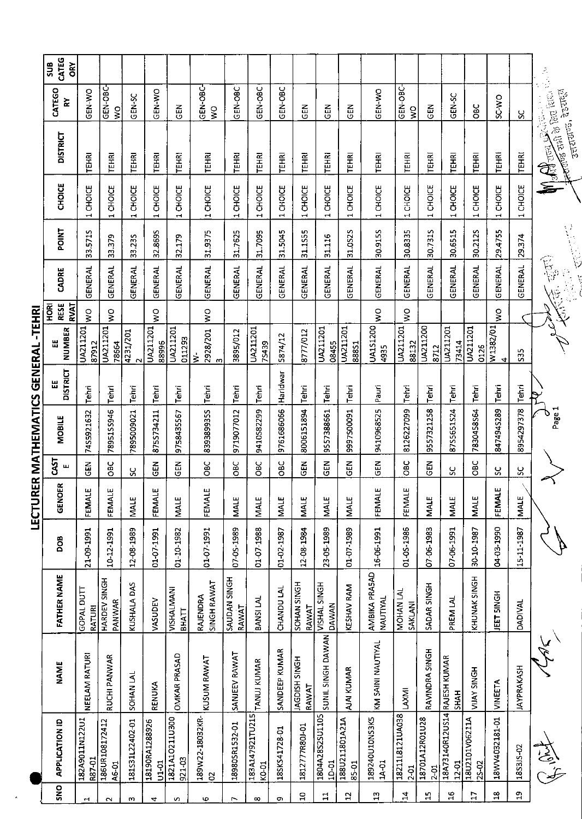|                 |                                       |                             |                                |            | LECTUR        |               | ER MATHEMATICS GENERAL |                      | -TEHRI                        |                                   |                                                                                                                                                                                                                                                                                                                                                     |         |                                    |                                                                        |                                      |                            |
|-----------------|---------------------------------------|-----------------------------|--------------------------------|------------|---------------|---------------|------------------------|----------------------|-------------------------------|-----------------------------------|-----------------------------------------------------------------------------------------------------------------------------------------------------------------------------------------------------------------------------------------------------------------------------------------------------------------------------------------------------|---------|------------------------------------|------------------------------------------------------------------------|--------------------------------------|----------------------------|
| SNO             | <b>APPLICATION ID</b>                 | <b>NAME</b>                 | <b>FATHER NAME</b>             | DOB        | <b>GENOER</b> | 5s<br>S<br>ш  | <b>MOBILE</b>          | <b>DISTRICT</b><br>щ | NUMBER<br>出                   | <b>RESE</b><br>RVAT<br><b>BOH</b> | CADRE                                                                                                                                                                                                                                                                                                                                               | POINT   | CHOICE                             | <b>DISTRICT</b>                                                        | CATEGO<br>⋩                          | CATEG<br><b>SUB</b><br>ÕRY |
|                 | 182A9011N122U1<br>R87-01              | NEELAM RATURI               | GOPAL DUTT<br><b>RATURI</b>    | 21-09-1991 | FEMALE        | 즎             | 74S5921632             | Tehri                | UA211201<br>87912             | $\frac{1}{2}$                     | GENERAL                                                                                                                                                                                                                                                                                                                                             | 33.5715 | 1 CHOICE                           | TEHRI                                                                  | <b>OK-YED</b>                        |                            |
|                 | 186UR108172412<br>A6-01               | RUCHI PANWAR                | HARDEV SINGH<br>PANWAR         | 10-12-1991 | FEMALE        | OBC           | 78951SS946             | Tehri                | UA211201<br>78664             | š                                 | <b>GENERAL</b>                                                                                                                                                                                                                                                                                                                                      | 33.379  | <b>CHOICE</b>                      | <b>TEHRI</b>                                                           | GEN-OBC<br>š                         |                            |
|                 | 181531L22402-01                       | <b>SOHAN LAL</b>            | KUSHALA DAS                    | 12-08-1989 | <b>MALE</b>   | ပ္တ           | 7895009021             | Tehri                | 4231/201<br>$\mathbf{\Omega}$ |                                   | GENERAL                                                                                                                                                                                                                                                                                                                                             | 33.235  | CHOICE<br>$\blacksquare$           | TEHRI                                                                  | GEN-SC                               |                            |
|                 | 18190RA1288926<br>$U1-01$             | RENUKA                      | VASUDEV                        | 01-07 1991 | FEMALE        | $rac{1}{2}$   | 875S734211             | Tehri                | UA211201<br>88996             | Š                                 | <b>GENERAL</b>                                                                                                                                                                                                                                                                                                                                      | 32.8695 | CHOICE<br>$\overline{\phantom{0}}$ | TEHRI                                                                  | GEN-WO                               |                            |
|                 | 1821A1O211U300<br>921-03              | <b>OMKAR PRASAD</b>         | VISHALMANI<br>ВНАТТ            | 01-10-1982 | MALE          | <b>GEN</b>    | 9758435567             | Tehri                | <b>UA211201</b><br>011293     |                                   | GENERAL                                                                                                                                                                                                                                                                                                                                             | 32.179  | 1 CHOICE                           | <b>TEHRI</b>                                                           | <b>GEN</b>                           |                            |
| m               | 189W22-18032KR-<br>S                  | KUSUM RAWAT                 | <b>SINGH RAWAT</b><br>RAJENDRA | 01-07-1991 | FEMALE        | OBC           | 839389935S             | Tehri                | 2928/201 WO<br>ż<br>m         |                                   | <b>GENERAL</b>                                                                                                                                                                                                                                                                                                                                      | 31.9375 | 1 CHOICE                           | TEHRI                                                                  | GEN-OBC<br>$\mathsf{S}^{\mathsf{O}}$ |                            |
|                 | 18980SR1532-01                        | SANJEEV RAWAT               | SAUDAN SINGH<br>RAWAT          | 07-05-1989 | <b>MALE</b>   | OBC           | 9719077012             | Tehri                | 3895/012                      |                                   | GENERAL                                                                                                                                                                                                                                                                                                                                             | 31.7625 | 1 CHOICE                           | <b>TEHRI</b>                                                           | GEN-OBC                              |                            |
| $\infty$        | 183A147921TU215<br>K0-01              | TANUJ KUMAR                 | BANSI LAL                      | 01-07-1988 | MALE          | ÖВC           | 9410582299             | Tehri                | UA211201<br>75439             |                                   | GENERAL                                                                                                                                                                                                                                                                                                                                             | 31.7095 | 1 CHOICE                           | TEHRI                                                                  | GEN-OBC                              |                            |
| ጣ               | 18SKS41728-01                         | SANDEEP KUMAR               | CHANDU LAL                     | 01-02-1987 | <b>MALE</b>   | OBC           | 9761686066             | Haridwar             | 5874/12                       |                                   | GENERAL                                                                                                                                                                                                                                                                                                                                             | 31.5045 | 1 CHOICE                           | <b>TEHRI</b>                                                           | GEN-OBC                              |                            |
| $\overline{c}$  | 1812777R80J-01                        | <b>HOUSH SINGH</b><br>RAWAT | SOHAN SINGH<br>RAWAT           | 12-08 1984 | <b>MALE</b>   | $\frac{2}{5}$ | 8006151894             | Tehri                | 8777/012                      |                                   | GENERAL                                                                                                                                                                                                                                                                                                                                             | 31.1555 | 1 CHOICE                           | TEHRI                                                                  | 듢                                    |                            |
| $\sharp$        | 1804A28S2SU1105<br>10-01              | SUNIL SINGH DAWAN           | VISHAL SINGH<br><b>DAWAN</b>   | 23-05-1989 | <b>MALE</b>   | GEN           | 9557388661             | <b>Tehri</b>         | UA211201<br>08455             |                                   | GENERAL                                                                                                                                                                                                                                                                                                                                             | 31.116  | 1 CHOICE                           | TEHRI                                                                  | 즶                                    |                            |
| $\overline{1}$  | 188U211801A21A<br>85-01               | <b>AJAI KUMAR</b>           | <b>KESHAV RAM</b>              | 01-07-1989 | <b>MALE</b>   | 즶             | 9997S00091             | Tehri                | UA211201<br>888S1             |                                   | GENERAL                                                                                                                                                                                                                                                                                                                                             | 31.0S2S | CHOICE<br>$\mathbf{r}$             | <b>TEHRI</b>                                                           | 준<br>이                               |                            |
| $\mathbf{r}_1$  | 189240U10NS3K5<br>1A-01               | KM SAINI NAUTIYAL           | AMBIKA PRASAD<br>NAUTIYAL      | 16-06-1991 | ш<br>FEMALE   | <b>GEN</b>    | 9410968525             | Pauri                | UA1S1200<br>4935              | Š                                 | <b>GENERAL</b>                                                                                                                                                                                                                                                                                                                                      | 30.915S | CHOICE<br>1                        | <b>TEHRI</b>                                                           | GEN-WO                               |                            |
| $\ddot{a}$      | 18211L8121UA038<br>$2-01$             | <b>INXAI</b>                | MOHAN LAL<br><b>SAKLANI</b>    | 01-05-1986 | ш<br>FEMALI   | OBC           | 8126227099             | Tehri                | UA211201<br>88132             | š                                 | GENERAL                                                                                                                                                                                                                                                                                                                                             | 30.8335 | CHOICE<br>$\overline{ }$           | <b>TEHRI</b>                                                           | GEN-OBC<br>Š                         |                            |
| $\mathbf{r}$    | 18701A12R01U28<br>$2-01$              | RAVINDRA SINGH              | SADAR SINGH                    | 07-06-1983 | <b>MALE</b>   | 군<br>아        | 9557321258             | Tehri                | UA211200<br>8712              |                                   | <b>GENERAL</b>                                                                                                                                                                                                                                                                                                                                      | 30.731S | <b>CHOICE</b><br>1                 | <b>TEHRI</b>                                                           | 군<br>이                               |                            |
| $16$            | 18A73140R12US14 RAJESH KUMAR<br>12-01 | <b>SHAH</b>                 | PREM LAL                       | 07-06-1991 | <b>MALE</b>   | ပ္တ           | 87S5651S24             | Tehri                | UA211201<br>73414             |                                   | GENERAL                                                                                                                                                                                                                                                                                                                                             | 30.6515 | CHOICE<br>1                        | <b>TEHRI</b>                                                           | <b>GEN-SC</b>                        |                            |
| $\overline{17}$ | 18U2101V06211A<br>$25 - 02$           | <b>HDNIS AVIIV</b>          | KHUNAK SINGH                   | 30-10-1987 | <b>MALE</b>   | OBC           | 7830458564             | Tehri                | UA211201<br>0126              |                                   | <b>GENERAL</b>                                                                                                                                                                                                                                                                                                                                      | 30.2125 | 1 CHOICE                           | <b>TEHRI</b>                                                           | <b>OBC</b>                           |                            |
| $\frac{8}{11}$  | 18WV4032181-01                        | <b>VINEETA</b>              | JEET SINGH                     | 04-03-1990 | ш<br>FEMALI   | X             | 8474945289             | Tehri                | W1382/01<br>4                 | š                                 | GENERAL                                                                                                                                                                                                                                                                                                                                             | 29.4755 | 1 CHOICE                           | TEHRI                                                                  | <b>OW-CS</b>                         |                            |
| $\mathbf{r}_1$  | 18S3JS-02                             | <b>JAYPRAKASH</b>           | <b>DADIVAL</b>                 | 15-11-1987 | <b>MALE</b>   | SC            | 8954297378             | Tehri                | 535                           |                                   | <b>GENERAL</b>                                                                                                                                                                                                                                                                                                                                      | 29.374  | 1 CHOICE                           | <b>TEHRI</b>                                                           | ပ္တ                                  |                            |
|                 | 复步                                    |                             |                                |            |               |               | Page 1                 |                      |                               |                                   | $\begin{picture}(42,10) \put(0,0){\line(1,0){15}} \put(15,0){\line(1,0){15}} \put(15,0){\line(1,0){15}} \put(15,0){\line(1,0){15}} \put(15,0){\line(1,0){15}} \put(15,0){\line(1,0){15}} \put(15,0){\line(1,0){15}} \put(15,0){\line(1,0){15}} \put(15,0){\line(1,0){15}} \put(15,0){\line(1,0){15}} \put(15,0){\line(1,0){15}} \put(15,0){\line(1$ |         | Ξ                                  | <b>All Cold By But Books</b><br>उत्तराण्ड, देडराष्ट्र<br>Line of Beech |                                      |                            |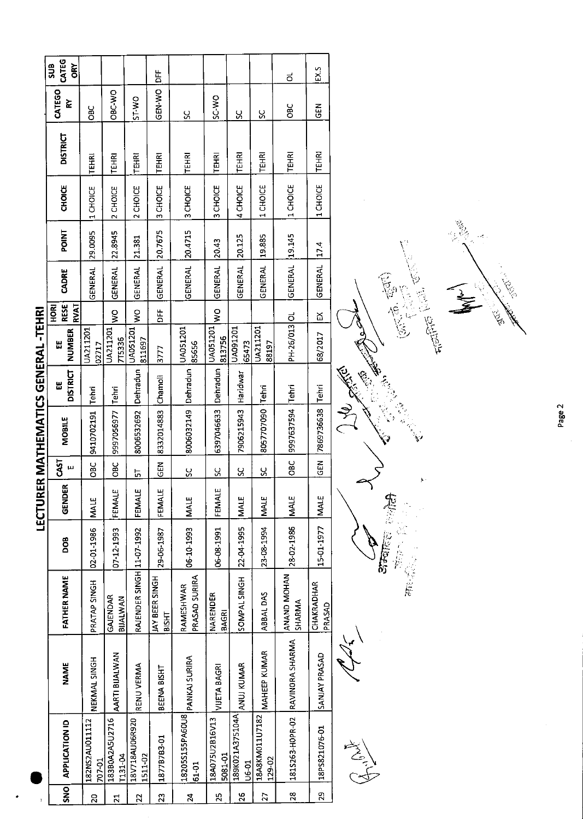|                              | CATEG<br>SUB<br>ŌRY               |                          |                           |                           | i<br>DE                        |                            |                           |                                            |                          | ಕ                               | ΕX.5                 |                         |
|------------------------------|-----------------------------------|--------------------------|---------------------------|---------------------------|--------------------------------|----------------------------|---------------------------|--------------------------------------------|--------------------------|---------------------------------|----------------------|-------------------------|
|                              | CATEGO<br>≿                       | ÖВC                      | OBC-WO                    | ST-WO                     | GEN-WO                         | ပ္တ                        | SC-WO                     | ပ္တ                                        | S,                       | <b>CBC</b>                      | $\frac{2}{9}$        |                         |
|                              | <b>DISTRICT</b>                   | <b>TEHRI</b>             | TEHRI                     | TEHRI                     | <b>TEHRI</b>                   | TEHRI                      | <b>TEHRI</b>              | TEHRI                                      | <b>TEHRI</b>             | <b>TEHRI</b>                    | <b>TEHRI</b>         |                         |
|                              | <b>CHOICE</b>                     | 1 CHOICE                 | 2 CHOICE                  | 2 CHOICE                  | 3 CHOICE                       | 3 CHOICE                   | 3 CHOICE                  | 4 CHOICE                                   | 1 CHOICE                 | 1 CHOICE                        | 1 CHOICE             |                         |
|                              | <b>POINT</b>                      | 29.0095                  | 22.8945                   | 21.381                    | 20.7675                        | 20.4715                    | 20.43                     | 20.125                                     | 19.885                   | 19.145                          | 17.4                 |                         |
|                              | CADRE                             | GENERAL                  | GENERAL                   | <b>GENERAL</b>            | GENERAL                        | <b>GENERAL</b>             | <b>GENERAL</b>            | GENERAL                                    | GENERAL                  | GENERAL                         | GENERAL              |                         |
|                              | RVAT<br><b>RESE</b><br><b>MOK</b> |                          | ş                         | $\frac{1}{2}$             | 岀<br>li                        |                            | $\frac{8}{2}$             |                                            |                          |                                 | ፵                    | $\langle$               |
|                              | <b>NUMBER</b><br>벖                | UA211201<br>02717        | UA211201<br>7T5336        | UA051201<br>811697        | 3777                           | UA051201<br>85656          | UA051201<br>813756        | UA091201<br>65473                          | JA211201<br>88197        | PH-26/013 OL                    | 68/2017              |                         |
|                              | <b>DISTRICT</b><br>Ш              | Tehri                    | Tehri                     | Dehradun                  | Chamoli                        | Dehradun                   |                           | Haridwar                                   | Tehri                    |                                 | <b>Tehri</b>         | Ń                       |
| ER MATHEMATICS GENERAL-TEHRI | <b>MOBILE</b>                     | 9410702191               | 9997056977                | 8006532692                | 8332014883                     | 8006032149                 | 6397046633 Dehradun       | 7906215943                                 | 8057707090               | 9997637594 Tehri                | 7869736638           | $\overline{\mathbf{C}}$ |
|                              | CAST<br>щ                         | OBC                      | $rac{C}{D}$               | 뉴                         | <b>SEN</b>                     | <u>sc</u>                  | $\frac{6}{5}$             | 5                                          | $\frac{6}{5}$            | OBC                             | <b>GEN</b>           |                         |
| LECTUR                       | GENDER                            | <b>MALE</b>              | щ<br>FEMAL                | щ<br>FEMAL                | FEMALE                         | <b>MALE</b>                | FEMALE                    | <b>MALE</b>                                | <b>NALE</b>              | <b>MALE</b>                     | <b>MALE</b>          |                         |
|                              | BOO                               | 02-01-1986               | 07-12-1993                |                           | 29-06-1987                     | 06-10-1993                 | 06-08-1991                | 22-04-1995                                 | 23-08-1994               | 28-02-1986                      | 15-01-1977           |                         |
|                              | <b>FATHER NAME</b>                | PRATAP SINGH             | GAJENDAR<br>BIJALWAN      | RAJENDER SINGH 11-07-1992 | JAY BEER SINGH<br><b>BISHT</b> | PRASAD SURIRA<br>RAMESHWAR | NARENDER<br><b>BAGRI</b>  | SOMPAL SINGH                               | ABBAL DAS                | ANAND MOHAN<br>SHARMA           | CHAKRADHAR<br>PRASAD |                         |
|                              | <b>NAME</b>                       | NEKMAL SINGH             | AARTI BIJALWAN            | RENU VERMA                | BEENA BISHT                    | PANKAJ SURIRA              | <b>VIJETA BAGRI</b>       |                                            | MAHEEP KUMAR             | 181S263-HOPR-02 RAVINORA SHARMA | SANJAY PRASAD        |                         |
|                              | <b>APPLICATION ID</b>             | 182NS2AU011112<br>707-01 | 183B0A2A5U2716<br>T131-04 | 18V718AU06R920<br>1511-02 | 18778783-01                    | 18205S155PA60U8<br>61-01   | 18A075U2B16V13<br>5081-01 | 189K021A375104A ANUJ KUMAR<br><b>UG-01</b> | 18A8KM011U7182<br>129-02 |                                 | 18PS821076-01        |                         |
|                              | $\overline{5}$                    |                          |                           | $\sim$                    | m                              | 4                          | LO,                       | <b>lo</b>                                  |                          | ě,                              | ğ,                   |                         |

الملهبوس A.C.

 $\begin{array}{ll} \left( \sqrt{1-\frac{1}{2}}\frac{1}{\sqrt{2}}\frac{1}{\sqrt{2}}\frac{1}{\sqrt{2}}\frac{1}{\sqrt{2}}\frac{1}{\sqrt{2}}\frac{1}{\sqrt{2}}\frac{1}{\sqrt{2}}\frac{1}{\sqrt{2}}\frac{1}{\sqrt{2}}\frac{1}{\sqrt{2}}\frac{1}{\sqrt{2}}\frac{1}{\sqrt{2}}\frac{1}{\sqrt{2}}\frac{1}{\sqrt{2}}\frac{1}{\sqrt{2}}\frac{1}{\sqrt{2}}\frac{1}{\sqrt{2}}\frac{1}{\sqrt{2}}\frac{1}{\sqrt{2}}\frac{1}{\sqrt{2$ **JAP PRESS** Standard Man

意义 ري.<br>مرگ

 $\sum_{i=1}^{n}$ 

Letter Res

**CONTROLLS**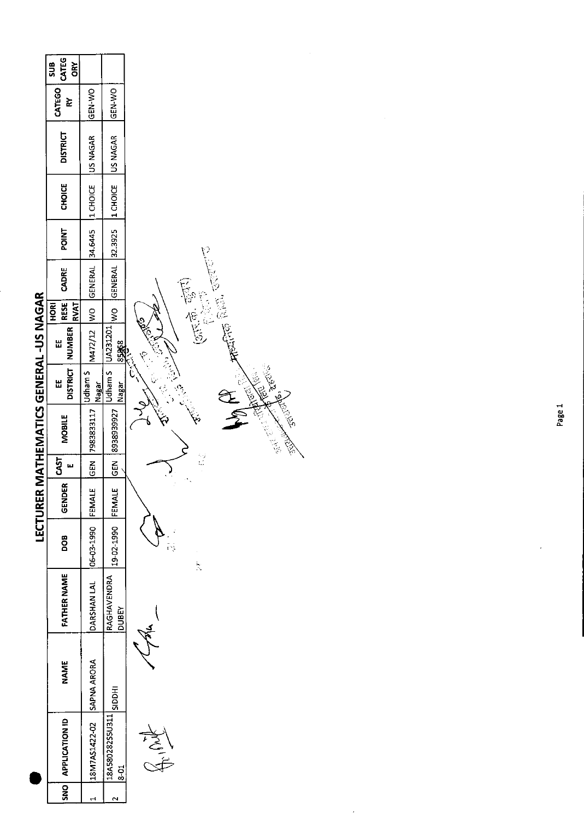|                               | <b>CATEG</b><br>ORY<br>SUB<br>CATEGO<br>์<br>ส | GEN-WO                                    |                                                                                                                                                                                                                                                                                                                     |                                       |
|-------------------------------|------------------------------------------------|-------------------------------------------|---------------------------------------------------------------------------------------------------------------------------------------------------------------------------------------------------------------------------------------------------------------------------------------------------------------------|---------------------------------------|
|                               | <b>DISTRICT</b>                                | M472/12 WO GENERAL 34.6445 1 CHOICE UAGAR | $\frac{1}{2}$ $\frac{1}{2}$ $\frac{1}{2}$ $\frac{1}{2}$ $\frac{1}{2}$ $\frac{1}{2}$ $\frac{1}{2}$ $\frac{1}{2}$ $\frac{1}{2}$ $\frac{1}{2}$ $\frac{1}{2}$ $\frac{1}{2}$ $\frac{1}{2}$ $\frac{1}{2}$ $\frac{1}{2}$ $\frac{1}{2}$ $\frac{1}{2}$ $\frac{1}{2}$ $\frac{1}{2}$ $\frac{1}{2}$ $\frac{1}{2}$ $\frac{1}{2}$ |                                       |
|                               | <b>CHOICE</b>                                  |                                           |                                                                                                                                                                                                                                                                                                                     |                                       |
|                               | POINT                                          |                                           |                                                                                                                                                                                                                                                                                                                     |                                       |
|                               | CADRE                                          |                                           |                                                                                                                                                                                                                                                                                                                     |                                       |
|                               | RESE<br>HORI<br><b>RVAT</b>                    |                                           |                                                                                                                                                                                                                                                                                                                     | $\Big($                               |
|                               | DISTRICT   NUMBER<br>닚                         |                                           |                                                                                                                                                                                                                                                                                                                     |                                       |
|                               | Ш                                              | Udham S<br>Nagar                          |                                                                                                                                                                                                                                                                                                                     | <b>Nagar 85868</b><br>- Region 168681 |
| MATHEMATICS GENERAL -US NAGAR | <b>MOBILE</b>                                  | GEN 7983833117                            | GEN 8938939927                                                                                                                                                                                                                                                                                                      |                                       |
|                               | $\overline{\frac{1}{2}}$                       |                                           |                                                                                                                                                                                                                                                                                                                     |                                       |
| <b>LECTURER</b>               | GENDER                                         |                                           |                                                                                                                                                                                                                                                                                                                     |                                       |
|                               | 8<br>DO                                        |                                           | 19-02-1990 FEMAL                                                                                                                                                                                                                                                                                                    |                                       |
|                               | FATHER NAME                                    | DARSHAN LAL 106-03-1990 FEMALE            | RAGHAVENDRA<br><b>N3BDC</b>                                                                                                                                                                                                                                                                                         |                                       |
|                               | NAME                                           |                                           |                                                                                                                                                                                                                                                                                                                     |                                       |
|                               | SNO APPLICATION ID                             | 18M7AS1422-02 SAPNA ARORA                 | 138A580282S5U311 SIDDHI<br>$\frac{1}{8}$                                                                                                                                                                                                                                                                            |                                       |
|                               |                                                |                                           |                                                                                                                                                                                                                                                                                                                     |                                       |





**BOOM** 

 $\hat{\mathcal{L}}$ 

 $\vec{b}$ 

 $\ddot{\phantom{0}}$